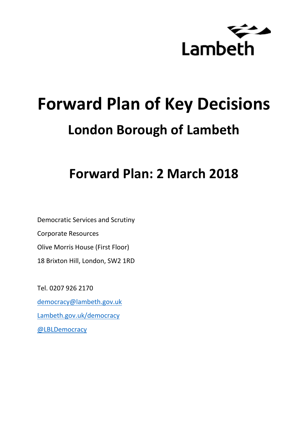

# **Forward Plan of Key Decisions London Borough of Lambeth**

# **Forward Plan: 2 March 2018**

Democratic Services and Scrutiny Corporate Resources Olive Morris House (First Floor) 18 Brixton Hill, London, SW2 1RD

Tel. 0207 926 2170 [democracy@lambeth.gov.uk](mailto:democracy@lambeth.gov.uk) [Lambeth.gov.uk/democracy](https://www.lambeth.gov.uk/elections-and-council/meetings-minutes-and-agendas/getting-involved-in-decision-making-guide) [@LBLDemocracy](https://twitter.com/LBLDemocracy?lang=en)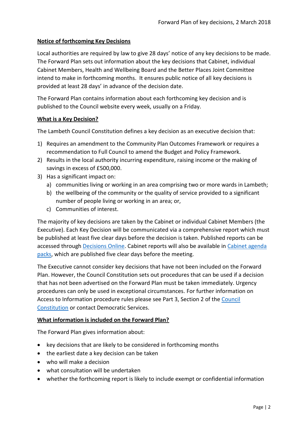# **Notice of forthcoming Key Decisions**

Local authorities are required by law to give 28 days' notice of any key decisions to be made. The Forward Plan sets out information about the key decisions that Cabinet, individual Cabinet Members, Health and Wellbeing Board and the Better Places Joint Committee intend to make in forthcoming months. It ensures public notice of all key decisions is provided at least 28 days' in advance of the decision date.

The Forward Plan contains information about each forthcoming key decision and is published to the Council website every week, usually on a Friday.

#### **What is a Key Decision?**

The Lambeth Council Constitution defines a key decision as an executive decision that:

- 1) Requires an amendment to the Community Plan Outcomes Framework or requires a recommendation to Full Council to amend the Budget and Policy Framework.
- 2) Results in the local authority incurring expenditure, raising income or the making of savings in excess of £500,000.
- 3) Has a significant impact on:
	- a) communities living or working in an area comprising two or more wards in Lambeth;
	- b) the wellbeing of the community or the quality of service provided to a significant number of people living or working in an area; or,
	- c) Communities of interest.

The majority of key decisions are taken by the Cabinet or individual Cabinet Members (the Executive). Each Key Decision will be communicated via a comprehensive report which must be published at least five clear days before the decision is taken. Published reports can be accessed through [Decisions Online.](http://moderngov.lambeth.gov.uk/mgDelegatedDecisions.aspx?bcr=1&DM=0&DS=2&K=0&DR=&V=0) Cabinet reports will also be available in [Cabinet agenda](https://moderngov.lambeth.gov.uk/ieListMeetings.aspx?CommitteeId=225)  [packs,](https://moderngov.lambeth.gov.uk/ieListMeetings.aspx?CommitteeId=225) which are published five clear days before the meeting.

The Executive cannot consider key decisions that have not been included on the Forward Plan. However, the Council Constitution sets out procedures that can be used if a decision that has not been advertised on the Forward Plan must be taken immediately. Urgency procedures can only be used in exceptional circumstances. For further information on Access to Information procedure rules please see Part 3, Section 2 of the [Council](http://moderngov.lambeth.gov.uk/ieListMeetings.aspx?CId=738&info=1&MD=Constitution)  [Constitution](http://moderngov.lambeth.gov.uk/ieListMeetings.aspx?CId=738&info=1&MD=Constitution) or contact Democratic Services.

# **What information is included on the Forward Plan?**

The Forward Plan gives information about:

- key decisions that are likely to be considered in forthcoming months
- the earliest date a key decision can be taken
- who will make a decision
- what consultation will be undertaken
- whether the forthcoming report is likely to include exempt or confidential information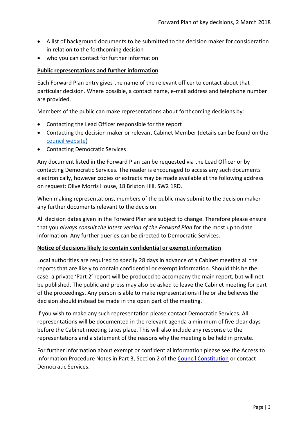- A list of background documents to be submitted to the decision maker for consideration in relation to the forthcoming decision
- who you can contact for further information

# **Public representations and further information**

Each Forward Plan entry gives the name of the relevant officer to contact about that particular decision. Where possible, a contact name, e-mail address and telephone number are provided.

Members of the public can make representations about forthcoming decisions by:

- Contacting the Lead Officer responsible for the report
- Contacting the decision maker or relevant Cabinet Member (details can be found on the [council website\)](http://moderngov.lambeth.gov.uk/mgMemberIndex.aspx?bcr=1)
- Contacting Democratic Services

Any document listed in the Forward Plan can be requested via the Lead Officer or by contacting Democratic Services. The reader is encouraged to access any such documents electronically, however copies or extracts may be made available at the following address on request: Olive Morris House, 18 Brixton Hill, SW2 1RD.

When making representations, members of the public may submit to the decision maker any further documents relevant to the decision.

All decision dates given in the Forward Plan are subject to change. Therefore please ensure that you *always consult the latest version of the Forward Plan* for the most up to date information. Any further queries can be directed to Democratic Services.

#### **Notice of decisions likely to contain confidential or exempt information**

Local authorities are required to specify 28 days in advance of a Cabinet meeting all the reports that are likely to contain confidential or exempt information. Should this be the case, a private 'Part 2' report will be produced to accompany the main report, but will not be published. The public and press may also be asked to leave the Cabinet meeting for part of the proceedings. Any person is able to make representations if he or she believes the decision should instead be made in the open part of the meeting.

If you wish to make any such representation please contact Democratic Services. All representations will be documented in the relevant agenda a minimum of five clear days before the Cabinet meeting takes place. This will also include any response to the representations and a statement of the reasons why the meeting is be held in private.

For further information about exempt or confidential information please see the Access to Information Procedure Notes in Part 3, Section 2 of the [Council Constitution](http://www.lambeth.gov.uk/sites/default/files/ec-Council-Constitution-2014-15-approved-with-changes-November-2014.pdf) or contact Democratic Services.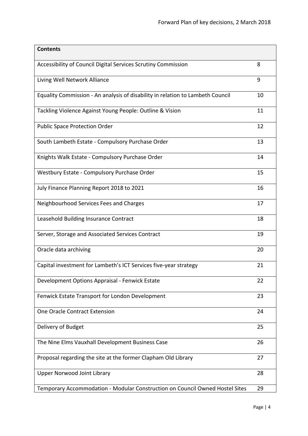| <b>Contents</b>                                                                |    |
|--------------------------------------------------------------------------------|----|
| Accessibility of Council Digital Services Scrutiny Commission                  | 8  |
| Living Well Network Alliance                                                   | 9  |
| Equality Commission - An analysis of disability in relation to Lambeth Council | 10 |
| Tackling Violence Against Young People: Outline & Vision                       | 11 |
| <b>Public Space Protection Order</b>                                           | 12 |
| South Lambeth Estate - Compulsory Purchase Order                               | 13 |
| Knights Walk Estate - Compulsory Purchase Order                                | 14 |
| Westbury Estate - Compulsory Purchase Order                                    | 15 |
| July Finance Planning Report 2018 to 2021                                      | 16 |
| Neighbourhood Services Fees and Charges                                        | 17 |
| Leasehold Building Insurance Contract                                          | 18 |
| Server, Storage and Associated Services Contract                               | 19 |
| Oracle data archiving                                                          | 20 |
| Capital investment for Lambeth's ICT Services five-year strategy               | 21 |
| Development Options Appraisal - Fenwick Estate                                 | 22 |
| Fenwick Estate Transport for London Development                                | 23 |
| One Oracle Contract Extension                                                  | 24 |
| Delivery of Budget                                                             | 25 |
| The Nine Elms Vauxhall Development Business Case                               | 26 |
| Proposal regarding the site at the former Clapham Old Library                  | 27 |
| <b>Upper Norwood Joint Library</b>                                             | 28 |
| Temporary Accommodation - Modular Construction on Council Owned Hostel Sites   | 29 |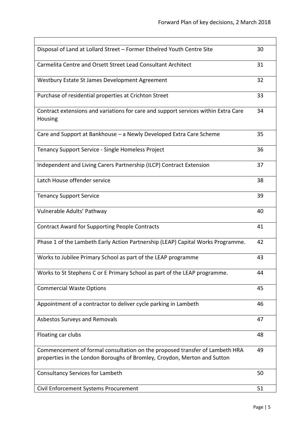| Disposal of Land at Lollard Street - Former Ethelred Youth Centre Site                                                                                  | 30 |
|---------------------------------------------------------------------------------------------------------------------------------------------------------|----|
| Carmelita Centre and Orsett Street Lead Consultant Architect                                                                                            | 31 |
| Westbury Estate St James Development Agreement                                                                                                          | 32 |
| Purchase of residential properties at Crichton Street                                                                                                   | 33 |
| Contract extensions and variations for care and support services within Extra Care<br>Housing                                                           | 34 |
| Care and Support at Bankhouse - a Newly Developed Extra Care Scheme                                                                                     | 35 |
| Tenancy Support Service - Single Homeless Project                                                                                                       | 36 |
| Independent and Living Carers Partnership (ILCP) Contract Extension                                                                                     | 37 |
| Latch House offender service                                                                                                                            | 38 |
| <b>Tenancy Support Service</b>                                                                                                                          | 39 |
| Vulnerable Adults' Pathway                                                                                                                              | 40 |
| <b>Contract Award for Supporting People Contracts</b>                                                                                                   | 41 |
| Phase 1 of the Lambeth Early Action Partnership (LEAP) Capital Works Programme.                                                                         | 42 |
| Works to Jubilee Primary School as part of the LEAP programme                                                                                           | 43 |
| Works to St Stephens C or E Primary School as part of the LEAP programme.                                                                               | 44 |
| <b>Commercial Waste Options</b>                                                                                                                         | 45 |
| Appointment of a contractor to deliver cycle parking in Lambeth                                                                                         | 46 |
| Asbestos Surveys and Removals                                                                                                                           | 47 |
| Floating car clubs                                                                                                                                      | 48 |
| Commencement of formal consultation on the proposed transfer of Lambeth HRA<br>properties in the London Boroughs of Bromley, Croydon, Merton and Sutton | 49 |
| <b>Consultancy Services for Lambeth</b>                                                                                                                 | 50 |
| Civil Enforcement Systems Procurement                                                                                                                   | 51 |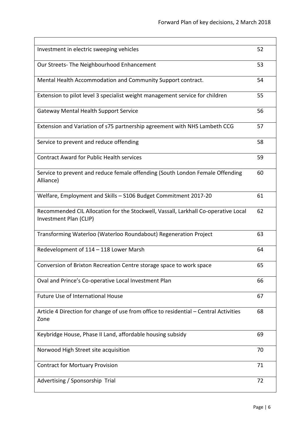| Investment in electric sweeping vehicles                                                                     | 52 |
|--------------------------------------------------------------------------------------------------------------|----|
| Our Streets- The Neighbourhood Enhancement                                                                   | 53 |
| Mental Health Accommodation and Community Support contract.                                                  | 54 |
| Extension to pilot level 3 specialist weight management service for children                                 | 55 |
| <b>Gateway Mental Health Support Service</b>                                                                 | 56 |
| Extension and Variation of s75 partnership agreement with NHS Lambeth CCG                                    | 57 |
| Service to prevent and reduce offending                                                                      | 58 |
| <b>Contract Award for Public Health services</b>                                                             | 59 |
| Service to prevent and reduce female offending (South London Female Offending<br>Alliance)                   | 60 |
| Welfare, Employment and Skills - S106 Budget Commitment 2017-20                                              | 61 |
| Recommended CIL Allocation for the Stockwell, Vassall, Larkhall Co-operative Local<br>Investment Plan (CLIP) | 62 |
| Transforming Waterloo (Waterloo Roundabout) Regeneration Project                                             | 63 |
| Redevelopment of 114 - 118 Lower Marsh                                                                       | 64 |
| Conversion of Brixton Recreation Centre storage space to work space                                          | 65 |
| Oval and Prince's Co-operative Local Investment Plan                                                         | 66 |
| <b>Future Use of International House</b>                                                                     | 67 |
| Article 4 Direction for change of use from office to residential - Central Activities<br>Zone                | 68 |
| Keybridge House, Phase II Land, affordable housing subsidy                                                   | 69 |
| Norwood High Street site acquisition                                                                         | 70 |
| <b>Contract for Mortuary Provision</b>                                                                       | 71 |
| Advertising / Sponsorship Trial                                                                              | 72 |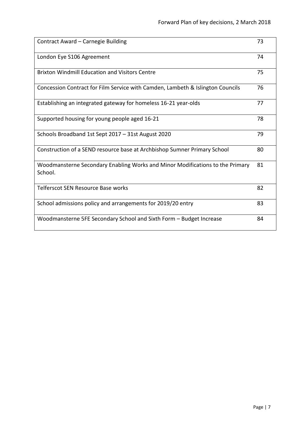| Contract Award - Carnegie Building                                                       | 73 |
|------------------------------------------------------------------------------------------|----|
| London Eye S106 Agreement                                                                | 74 |
| <b>Brixton Windmill Education and Visitors Centre</b>                                    | 75 |
| Concession Contract for Film Service with Camden, Lambeth & Islington Councils           | 76 |
| Establishing an integrated gateway for homeless 16-21 year-olds                          | 77 |
| Supported housing for young people aged 16-21                                            | 78 |
| Schools Broadband 1st Sept 2017 - 31st August 2020                                       | 79 |
| Construction of a SEND resource base at Archbishop Sumner Primary School                 | 80 |
| Woodmansterne Secondary Enabling Works and Minor Modifications to the Primary<br>School. | 81 |
| Telferscot SEN Resource Base works                                                       | 82 |
| School admissions policy and arrangements for 2019/20 entry                              | 83 |
| Woodmansterne 5FE Secondary School and Sixth Form - Budget Increase                      | 84 |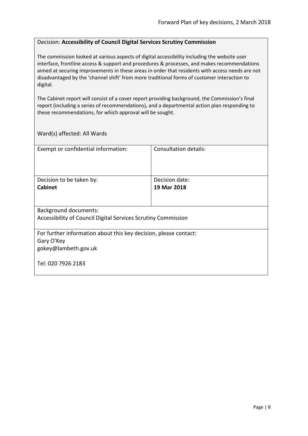#### <span id="page-7-0"></span>Decision: **Accessibility of Council Digital Services Scrutiny Commission**

The commission looked at various aspects of digital accessibility including the website user interface, frontline access & support and procedures & processes, and makes recommendations aimed at securing improvements in these areas in order that residents with access needs are not disadvantaged by the 'channel shift' from more traditional forms of customer interaction to digital.

The Cabinet report will consist of a cover report providing background, the Commission's final report (including a series of recommendations), and a departmental action plan responding to these recommendations, for which approval will be sought.

| Exempt or confidential information:                              | Consultation details: |  |
|------------------------------------------------------------------|-----------------------|--|
|                                                                  |                       |  |
|                                                                  |                       |  |
|                                                                  |                       |  |
| Decision to be taken by:                                         | Decision date:        |  |
| <b>Cabinet</b>                                                   | 19 Mar 2018           |  |
|                                                                  |                       |  |
|                                                                  |                       |  |
| <b>Background documents:</b>                                     |                       |  |
| Accessibility of Council Digital Services Scrutiny Commission    |                       |  |
|                                                                  |                       |  |
| For further information about this key decision, please contact: |                       |  |
| Gary O'Key                                                       |                       |  |
| gokey@lambeth.gov.uk                                             |                       |  |
|                                                                  |                       |  |
| Tel: 020 7926 2183                                               |                       |  |
|                                                                  |                       |  |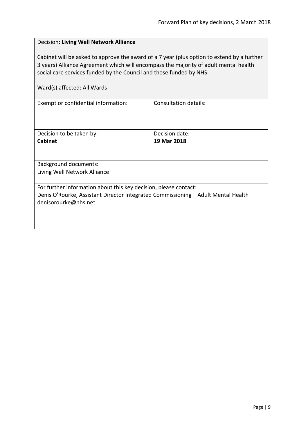<span id="page-8-0"></span>

| Decision: Living Well Network Alliance                                                                                                                                                                                                                                                  |                              |  |
|-----------------------------------------------------------------------------------------------------------------------------------------------------------------------------------------------------------------------------------------------------------------------------------------|------------------------------|--|
| Cabinet will be asked to approve the award of a 7 year (plus option to extend by a further<br>3 years) Alliance Agreement which will encompass the majority of adult mental health<br>social care services funded by the Council and those funded by NHS<br>Ward(s) affected: All Wards |                              |  |
| Exempt or confidential information:                                                                                                                                                                                                                                                     | <b>Consultation details:</b> |  |
|                                                                                                                                                                                                                                                                                         |                              |  |
| Decision to be taken by:                                                                                                                                                                                                                                                                | Decision date:               |  |
| Cabinet                                                                                                                                                                                                                                                                                 | 19 Mar 2018                  |  |
| <b>Background documents:</b>                                                                                                                                                                                                                                                            |                              |  |
| Living Well Network Alliance                                                                                                                                                                                                                                                            |                              |  |
| For further information about this key decision, please contact:                                                                                                                                                                                                                        |                              |  |
| Denis O'Rourke, Assistant Director Integrated Commissioning - Adult Mental Health<br>denisorourke@nhs.net                                                                                                                                                                               |                              |  |
|                                                                                                                                                                                                                                                                                         |                              |  |
|                                                                                                                                                                                                                                                                                         |                              |  |
|                                                                                                                                                                                                                                                                                         |                              |  |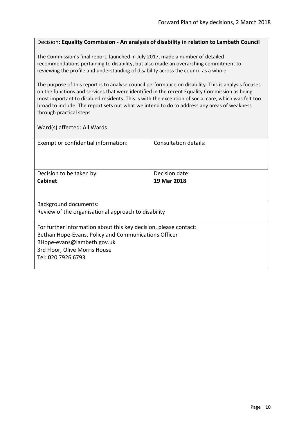#### <span id="page-9-0"></span>Decision: **Equality Commission - An analysis of disability in relation to Lambeth Council**

The Commission's final report, launched in July 2017, made a number of detailed recommendations pertaining to disability, but also made an overarching commitment to reviewing the profile and understanding of disability across the council as a whole.

The purpose of this report is to analyse council performance on disability. This is analysis focuses on the functions and services that were identified in the recent Equality Commission as being most important to disabled residents. This is with the exception of social care, which was felt too broad to include. The report sets out what we intend to do to address any areas of weakness through practical steps.

| Exempt or confidential information:                              | Consultation details: |  |
|------------------------------------------------------------------|-----------------------|--|
| Decision to be taken by:                                         | Decision date:        |  |
| <b>Cabinet</b>                                                   | 19 Mar 2018           |  |
|                                                                  |                       |  |
| <b>Background documents:</b>                                     |                       |  |
| Review of the organisational approach to disability              |                       |  |
| For further information about this key decision, please contact: |                       |  |
| Bethan Hope-Evans, Policy and Communications Officer             |                       |  |
| BHope-evans@lambeth.gov.uk                                       |                       |  |
| 3rd Floor, Olive Morris House                                    |                       |  |
| Tel: 020 7926 6793                                               |                       |  |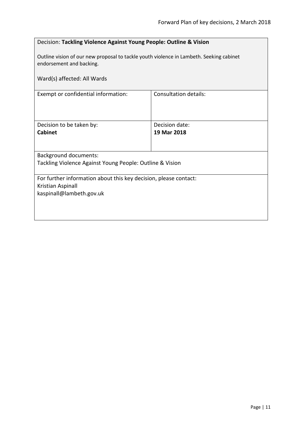<span id="page-10-0"></span>

| Decision: Tackling Violence Against Young People: Outline & Vision                                                  |                       |  |
|---------------------------------------------------------------------------------------------------------------------|-----------------------|--|
| Outline vision of our new proposal to tackle youth violence in Lambeth. Seeking cabinet<br>endorsement and backing. |                       |  |
| Ward(s) affected: All Wards                                                                                         |                       |  |
| Exempt or confidential information:                                                                                 | Consultation details: |  |
|                                                                                                                     |                       |  |
| Decision to be taken by:                                                                                            | Decision date:        |  |
| <b>Cabinet</b>                                                                                                      | 19 Mar 2018           |  |
| <b>Background documents:</b>                                                                                        |                       |  |
| Tackling Violence Against Young People: Outline & Vision                                                            |                       |  |
| For further information about this key decision, please contact:                                                    |                       |  |
| Kristian Aspinall<br>kaspinall@lambeth.gov.uk                                                                       |                       |  |
|                                                                                                                     |                       |  |
|                                                                                                                     |                       |  |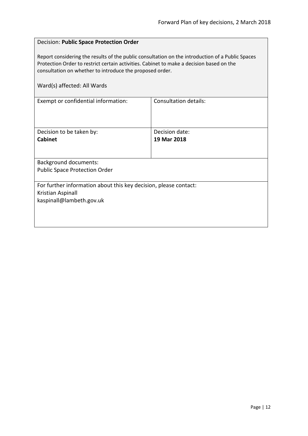#### <span id="page-11-0"></span>Decision: **Public Space Protection Order**

Report considering the results of the public consultation on the introduction of a Public Spaces Protection Order to restrict certain activities. Cabinet to make a decision based on the consultation on whether to introduce the proposed order.

| Exempt or confidential information:                              | Consultation details: |  |
|------------------------------------------------------------------|-----------------------|--|
|                                                                  |                       |  |
| Decision to be taken by:                                         | Decision date:        |  |
| <b>Cabinet</b>                                                   | 19 Mar 2018           |  |
|                                                                  |                       |  |
|                                                                  |                       |  |
| <b>Background documents:</b>                                     |                       |  |
| <b>Public Space Protection Order</b>                             |                       |  |
|                                                                  |                       |  |
| For further information about this key decision, please contact: |                       |  |
| Kristian Aspinall                                                |                       |  |
| kaspinall@lambeth.gov.uk                                         |                       |  |
|                                                                  |                       |  |
|                                                                  |                       |  |
|                                                                  |                       |  |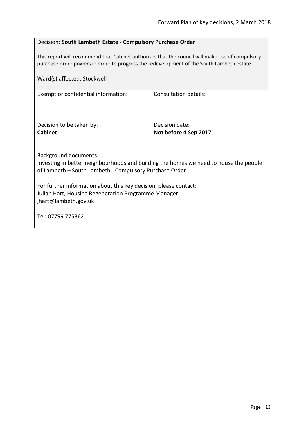# <span id="page-12-0"></span>Decision: **South Lambeth Estate - Compulsory Purchase Order**

This report will recommend that Cabinet authorises that the council will make use of compulsory purchase order powers in order to progress the redevelopment of the South Lambeth estate.

| Ward(s) affected: Stockwell                                                                                                                     |                       |  |
|-------------------------------------------------------------------------------------------------------------------------------------------------|-----------------------|--|
| Exempt or confidential information:                                                                                                             | Consultation details: |  |
| Decision to be taken by:                                                                                                                        | Decision date:        |  |
| <b>Cabinet</b>                                                                                                                                  | Not before 4 Sep 2017 |  |
| <b>Background documents:</b><br>Investing in better neighbourhoods and building the homes we need to house the people                           |                       |  |
| of Lambeth – South Lambeth - Compulsory Purchase Order                                                                                          |                       |  |
| For further information about this key decision, please contact:<br>Julian Hart, Housing Regeneration Programme Manager<br>jhart@lambeth.gov.uk |                       |  |
| Tel: 07799 775362                                                                                                                               |                       |  |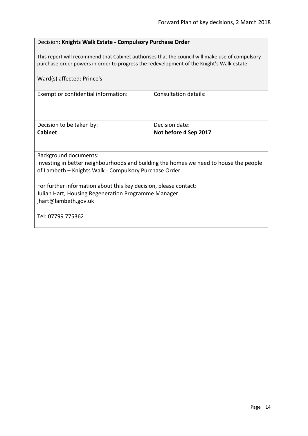# <span id="page-13-0"></span>Decision: **Knights Walk Estate - Compulsory Purchase Order**

This report will recommend that Cabinet authorises that the council will make use of compulsory purchase order powers in order to progress the redevelopment of the Knight's Walk estate.

| Ward(s) affected: Prince's                                                            |                       |  |
|---------------------------------------------------------------------------------------|-----------------------|--|
| Exempt or confidential information:                                                   | Consultation details: |  |
| Decision to be taken by:                                                              | Decision date:        |  |
| <b>Cabinet</b>                                                                        | Not before 4 Sep 2017 |  |
|                                                                                       |                       |  |
| <b>Background documents:</b>                                                          |                       |  |
| Investing in better neighbourhoods and building the homes we need to house the people |                       |  |
| of Lambeth - Knights Walk - Compulsory Purchase Order                                 |                       |  |
| For further information about this key decision, please contact:                      |                       |  |
| Julian Hart, Housing Regeneration Programme Manager                                   |                       |  |
| jhart@lambeth.gov.uk                                                                  |                       |  |
| Tel: 07799 775362                                                                     |                       |  |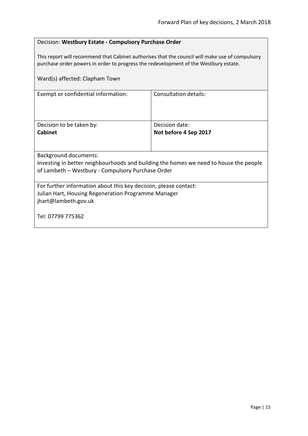# <span id="page-14-0"></span>Decision: **Westbury Estate - Compulsory Purchase Order**

This report will recommend that Cabinet authorises that the council will make use of compulsory purchase order powers in order to progress the redevelopment of the Westbury estate.

| Ward(s) affected: Clapham Town                                                        |                       |  |
|---------------------------------------------------------------------------------------|-----------------------|--|
| Exempt or confidential information:                                                   | Consultation details: |  |
| Decision to be taken by:                                                              | Decision date:        |  |
| <b>Cabinet</b>                                                                        | Not before 4 Sep 2017 |  |
| <b>Background documents:</b>                                                          |                       |  |
| Investing in better neighbourhoods and building the homes we need to house the people |                       |  |
| of Lambeth - Westbury - Compulsory Purchase Order                                     |                       |  |
| For further information about this key decision, please contact:                      |                       |  |
| Julian Hart, Housing Regeneration Programme Manager                                   |                       |  |
| jhart@lambeth.gov.uk                                                                  |                       |  |
| Tel: 07799 775362                                                                     |                       |  |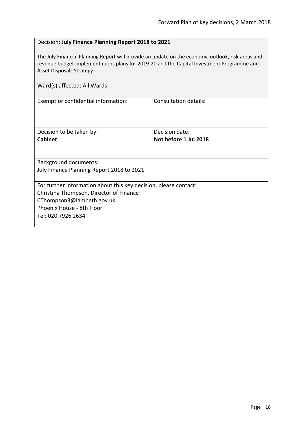# <span id="page-15-0"></span>Decision: **July Finance Planning Report 2018 to 2021**

The July Financial Planning Report will provide an update on the economic outlook, risk areas and revenue budget implementations plans for 2019-20 and the Capital Investment Programme and Asset Disposals Strategy.

| Ward(s) affected: All Wards                                                                                                                                                                 |                                         |  |
|---------------------------------------------------------------------------------------------------------------------------------------------------------------------------------------------|-----------------------------------------|--|
| Exempt or confidential information:                                                                                                                                                         | <b>Consultation details:</b>            |  |
| Decision to be taken by:<br><b>Cabinet</b>                                                                                                                                                  | Decision date:<br>Not before 1 Jul 2018 |  |
| Background documents:<br>July Finance Planning Report 2018 to 2021                                                                                                                          |                                         |  |
| For further information about this key decision, please contact:<br>Christina Thompson, Director of Finance<br>CThompson3@lambeth.gov.uk<br>Phoenix House - 8th Floor<br>Tel: 020 7926 2634 |                                         |  |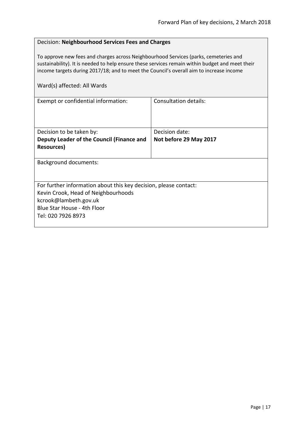# <span id="page-16-0"></span>Decision: **Neighbourhood Services Fees and Charges**

To approve new fees and charges across Neighbourhood Services (parks, cemeteries and sustainability). It is needed to help ensure these services remain within budget and meet their income targets during 2017/18; and to meet the Council's overall aim to increase income

| Exempt or confidential information:                              | Consultation details:  |
|------------------------------------------------------------------|------------------------|
|                                                                  |                        |
|                                                                  |                        |
|                                                                  |                        |
| Decision to be taken by:                                         | Decision date:         |
| Deputy Leader of the Council (Finance and                        | Not before 29 May 2017 |
| Resources)                                                       |                        |
|                                                                  |                        |
| <b>Background documents:</b>                                     |                        |
|                                                                  |                        |
|                                                                  |                        |
| For further information about this key decision, please contact: |                        |
| Kevin Crook, Head of Neighbourhoods                              |                        |
| kcrook@lambeth.gov.uk                                            |                        |
| Blue Star House - 4th Floor                                      |                        |
| Tel: 020 7926 8973                                               |                        |
|                                                                  |                        |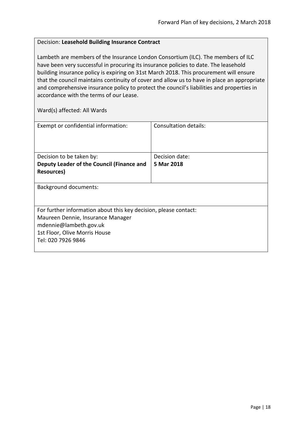# <span id="page-17-0"></span>Decision: **Leasehold Building Insurance Contract**

Lambeth are members of the Insurance London Consortium (ILC). The members of ILC have been very successful in procuring its insurance policies to date. The leasehold building insurance policy is expiring on 31st March 2018. This procurement will ensure that the council maintains continuity of cover and allow us to have in place an appropriate and comprehensive insurance policy to protect the council's liabilities and properties in accordance with the terms of our Lease.

| Exempt or confidential information:                              | <b>Consultation details:</b> |
|------------------------------------------------------------------|------------------------------|
|                                                                  |                              |
| Decision to be taken by:                                         | Decision date:               |
| Deputy Leader of the Council (Finance and                        | 5 Mar 2018                   |
| Resources)                                                       |                              |
|                                                                  |                              |
| <b>Background documents:</b>                                     |                              |
|                                                                  |                              |
|                                                                  |                              |
| For further information about this key decision, please contact: |                              |
| Maureen Dennie, Insurance Manager                                |                              |
| mdennie@lambeth.gov.uk                                           |                              |
| 1st Floor, Olive Morris House                                    |                              |
| Tel: 020 7926 9846                                               |                              |
|                                                                  |                              |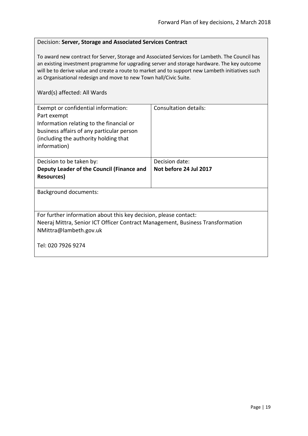#### <span id="page-18-0"></span>Decision: **Server, Storage and Associated Services Contract**

To award new contract for Server, Storage and Associated Services for Lambeth. The Council has an existing investment programme for upgrading server and storage hardware. The key outcome will be to derive value and create a route to market and to support new Lambeth initiatives such as Organisational redesign and move to new Town hall/Civic Suite.

| Exempt or confidential information:<br>Part exempt<br>Information relating to the financial or<br>business affairs of any particular person<br>(including the authority holding that<br>information) | Consultation details:  |
|------------------------------------------------------------------------------------------------------------------------------------------------------------------------------------------------------|------------------------|
| Decision to be taken by:                                                                                                                                                                             | Decision date:         |
| Deputy Leader of the Council (Finance and                                                                                                                                                            | Not before 24 Jul 2017 |
| <b>Resources</b> )                                                                                                                                                                                   |                        |
| <b>Background documents:</b>                                                                                                                                                                         |                        |
| For further information about this key decision, please contact:<br>Neeraj Mittra, Senior ICT Officer Contract Management, Business Transformation<br>NMittra@lambeth.gov.uk                         |                        |
| Tel: 020 7926 9274                                                                                                                                                                                   |                        |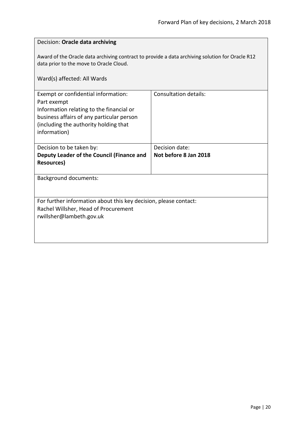<span id="page-19-0"></span>

| Decision: Oracle data archiving                                                                                                                                                                      |                       |  |
|------------------------------------------------------------------------------------------------------------------------------------------------------------------------------------------------------|-----------------------|--|
| Award of the Oracle data archiving contract to provide a data archiving solution for Oracle R12<br>data prior to the move to Oracle Cloud.<br>Ward(s) affected: All Wards                            |                       |  |
| Exempt or confidential information:<br>Part exempt<br>Information relating to the financial or<br>business affairs of any particular person<br>(including the authority holding that<br>information) | Consultation details: |  |
| Decision to be taken by:                                                                                                                                                                             | Decision date:        |  |
| Deputy Leader of the Council (Finance and                                                                                                                                                            | Not before 8 Jan 2018 |  |
| <b>Resources)</b>                                                                                                                                                                                    |                       |  |
| <b>Background documents:</b>                                                                                                                                                                         |                       |  |
| For further information about this key decision, please contact:                                                                                                                                     |                       |  |
| Rachel Willsher, Head of Procurement                                                                                                                                                                 |                       |  |
| rwillsher@lambeth.gov.uk                                                                                                                                                                             |                       |  |
|                                                                                                                                                                                                      |                       |  |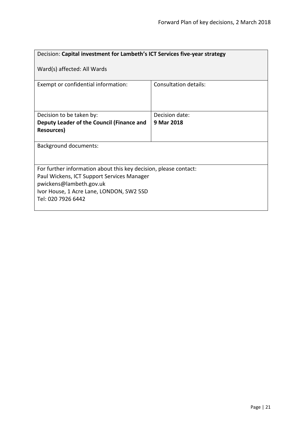<span id="page-20-0"></span>

| Decision: Capital investment for Lambeth's ICT Services five-year strategy                                                                                                                                  |                       |  |
|-------------------------------------------------------------------------------------------------------------------------------------------------------------------------------------------------------------|-----------------------|--|
| Ward(s) affected: All Wards                                                                                                                                                                                 |                       |  |
| Exempt or confidential information:                                                                                                                                                                         | Consultation details: |  |
| Decision to be taken by:                                                                                                                                                                                    | Decision date:        |  |
| Deputy Leader of the Council (Finance and                                                                                                                                                                   | 9 Mar 2018            |  |
| <b>Resources)</b>                                                                                                                                                                                           |                       |  |
| <b>Background documents:</b>                                                                                                                                                                                |                       |  |
| For further information about this key decision, please contact:<br>Paul Wickens, ICT Support Services Manager<br>pwickens@lambeth.gov.uk<br>Ivor House, 1 Acre Lane, LONDON, SW2 5SD<br>Tel: 020 7926 6442 |                       |  |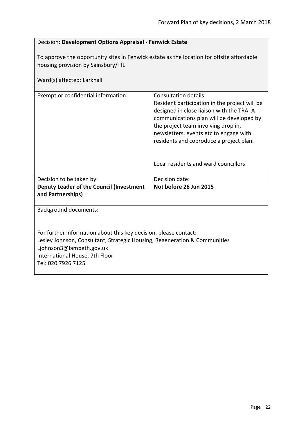<span id="page-21-0"></span>

| Decision: Development Options Appraisal - Fenwick Estate |  |
|----------------------------------------------------------|--|
|----------------------------------------------------------|--|

To approve the opportunity sites in Fenwick estate as the location for offsite affordable housing provision by Sainsbury/TfL

| Ward(s) affected: Larkhall                                                                                                                                                                                                        |                                                                                                                                                                                                                                                                                                                                            |
|-----------------------------------------------------------------------------------------------------------------------------------------------------------------------------------------------------------------------------------|--------------------------------------------------------------------------------------------------------------------------------------------------------------------------------------------------------------------------------------------------------------------------------------------------------------------------------------------|
| Exempt or confidential information:                                                                                                                                                                                               | <b>Consultation details:</b><br>Resident participation in the project will be<br>designed in close liaison with the TRA. A<br>communications plan will be developed by<br>the project team involving drop in,<br>newsletters, events etc to engage with<br>residents and coproduce a project plan.<br>Local residents and ward councillors |
| Decision to be taken by:                                                                                                                                                                                                          | Decision date:                                                                                                                                                                                                                                                                                                                             |
| Deputy Leader of the Council (Investment<br>and Partnerships)                                                                                                                                                                     | Not before 26 Jun 2015                                                                                                                                                                                                                                                                                                                     |
| <b>Background documents:</b>                                                                                                                                                                                                      |                                                                                                                                                                                                                                                                                                                                            |
| For further information about this key decision, please contact:<br>Lesley Johnson, Consultant, Strategic Housing, Regeneration & Communities<br>Ljohnson3@lambeth.gov.uk<br>International House, 7th Floor<br>Tel: 020 7926 7125 |                                                                                                                                                                                                                                                                                                                                            |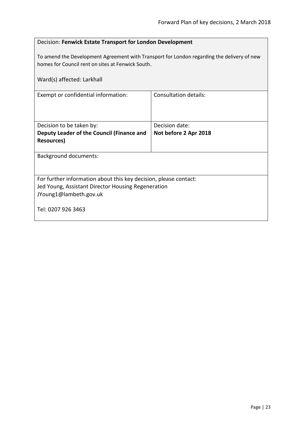<span id="page-22-0"></span>

| Decision: Fenwick Estate Transport for London Development                                                                                       |                       |  |
|-------------------------------------------------------------------------------------------------------------------------------------------------|-----------------------|--|
| To amend the Development Agreement with Transport for London regarding the delivery of new<br>homes for Council rent on sites at Fenwick South. |                       |  |
| Ward(s) affected: Larkhall                                                                                                                      |                       |  |
| Exempt or confidential information:                                                                                                             | Consultation details: |  |
|                                                                                                                                                 |                       |  |
| Decision to be taken by:                                                                                                                        | Decision date:        |  |
| Deputy Leader of the Council (Finance and                                                                                                       | Not before 2 Apr 2018 |  |
| <b>Resources</b> )                                                                                                                              |                       |  |
| <b>Background documents:</b>                                                                                                                    |                       |  |
|                                                                                                                                                 |                       |  |
| For further information about this key decision, please contact:                                                                                |                       |  |
| Jed Young, Assistant Director Housing Regeneration                                                                                              |                       |  |
| JYoung1@lambeth.gov.uk                                                                                                                          |                       |  |
| Tel: 0207 926 3463                                                                                                                              |                       |  |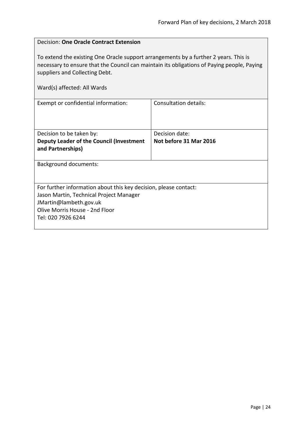<span id="page-23-0"></span>

| <b>Decision: One Oracle Contract Extension</b>                                                                                                                                                                       |                              |  |
|----------------------------------------------------------------------------------------------------------------------------------------------------------------------------------------------------------------------|------------------------------|--|
| To extend the existing One Oracle support arrangements by a further 2 years. This is<br>necessary to ensure that the Council can maintain its obligations of Paying people, Paying<br>suppliers and Collecting Debt. |                              |  |
| Ward(s) affected: All Wards                                                                                                                                                                                          |                              |  |
| Exempt or confidential information:                                                                                                                                                                                  | <b>Consultation details:</b> |  |
| Decision to be taken by:                                                                                                                                                                                             | Decision date:               |  |
| Deputy Leader of the Council (Investment<br>and Partnerships)                                                                                                                                                        | Not before 31 Mar 2016       |  |
| <b>Background documents:</b>                                                                                                                                                                                         |                              |  |
| For further information about this key decision, please contact:                                                                                                                                                     |                              |  |
| Jason Martin, Technical Project Manager                                                                                                                                                                              |                              |  |
| JMartin@lambeth.gov.uk                                                                                                                                                                                               |                              |  |
| Olive Morris House - 2nd Floor                                                                                                                                                                                       |                              |  |
| Tel: 020 7926 6244                                                                                                                                                                                                   |                              |  |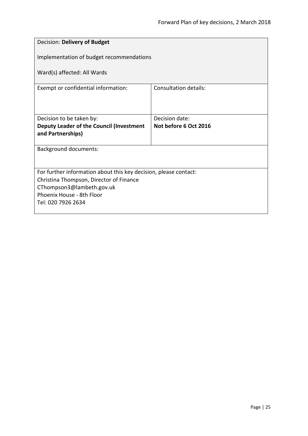<span id="page-24-0"></span>

| Decision: Delivery of Budget                                         |                       |  |
|----------------------------------------------------------------------|-----------------------|--|
| Implementation of budget recommendations                             |                       |  |
| Ward(s) affected: All Wards                                          |                       |  |
| Exempt or confidential information:                                  | Consultation details: |  |
|                                                                      |                       |  |
| Decision to be taken by:                                             | Decision date:        |  |
| <b>Deputy Leader of the Council (Investment</b><br>and Partnerships) | Not before 6 Oct 2016 |  |
|                                                                      |                       |  |
| <b>Background documents:</b>                                         |                       |  |
|                                                                      |                       |  |
| For further information about this key decision, please contact:     |                       |  |
| Christina Thompson, Director of Finance                              |                       |  |
| CThompson3@lambeth.gov.uk                                            |                       |  |
| Phoenix House - 8th Floor                                            |                       |  |
| Tel: 020 7926 2634                                                   |                       |  |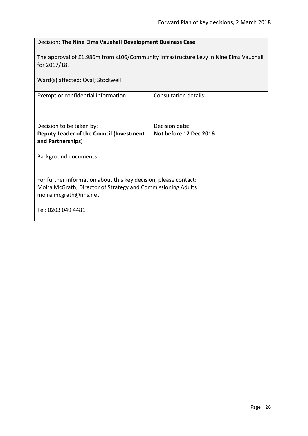<span id="page-25-0"></span>

| Decision: The Nine Elms Vauxhall Development Business Case                                                                                                |                        |  |
|-----------------------------------------------------------------------------------------------------------------------------------------------------------|------------------------|--|
| The approval of £1.986m from s106/Community Infrastructure Levy in Nine Elms Vauxhall<br>for 2017/18.                                                     |                        |  |
| Ward(s) affected: Oval; Stockwell                                                                                                                         |                        |  |
| Exempt or confidential information:                                                                                                                       | Consultation details:  |  |
|                                                                                                                                                           |                        |  |
| Decision to be taken by:                                                                                                                                  | Decision date:         |  |
| Deputy Leader of the Council (Investment<br>and Partnerships)                                                                                             | Not before 12 Dec 2016 |  |
| <b>Background documents:</b>                                                                                                                              |                        |  |
| For further information about this key decision, please contact:<br>Moira McGrath, Director of Strategy and Commissioning Adults<br>moira.mcgrath@nhs.net |                        |  |
| Tel: 0203 049 4481                                                                                                                                        |                        |  |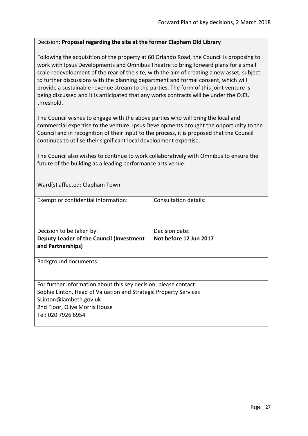# <span id="page-26-0"></span>Decision: **Proposal regarding the site at the former Clapham Old Library**

Following the acquisition of the property at 60 Orlando Road, the Council is proposing to work with Ipsus Developments and Omnibus Theatre to bring forward plans for a small scale redevelopment of the rear of the site, with the aim of creating a new asset, subject to further discussions with the planning department and formal consent, which will provide a sustainable revenue stream to the parties. The form of this joint venture is being discussed and it is anticipated that any works contracts will be under the OJEU threshold.

The Council wishes to engage with the above parties who will bring the local and commercial expertise to the venture. Ipsus Developments brought the opportunity to the Council and in recognition of their input to the process, it is proposed that the Council continues to utilise their significant local development expertise.

The Council also wishes to continue to work collaboratively with Omnibus to ensure the future of the building as a leading performance arts venue.

Ward(s) affected: Clapham Town

| Exempt or confidential information:                              | Consultation details:  |
|------------------------------------------------------------------|------------------------|
|                                                                  |                        |
|                                                                  |                        |
| Decision to be taken by:                                         | Decision date:         |
| Deputy Leader of the Council (Investment                         | Not before 12 Jun 2017 |
| and Partnerships)                                                |                        |
|                                                                  |                        |
| <b>Background documents:</b>                                     |                        |
|                                                                  |                        |
|                                                                  |                        |
| For further information about this key decision, please contact: |                        |
| Sophie Linton, Head of Valuation and Strategic Property Services |                        |
| SLinton@lambeth.gov.uk                                           |                        |
| 2nd Floor, Olive Morris House                                    |                        |
| Tel: 020 7926 6954                                               |                        |
|                                                                  |                        |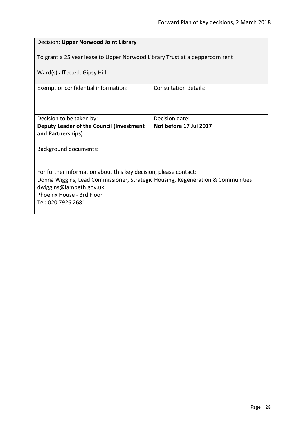<span id="page-27-0"></span>

| Decision: Upper Norwood Joint Library                                           |                              |
|---------------------------------------------------------------------------------|------------------------------|
| To grant a 25 year lease to Upper Norwood Library Trust at a peppercorn rent    |                              |
| Ward(s) affected: Gipsy Hill                                                    |                              |
| Exempt or confidential information:                                             | <b>Consultation details:</b> |
|                                                                                 |                              |
| Decision to be taken by:                                                        | Decision date:               |
| Not before 17 Jul 2017<br>Deputy Leader of the Council (Investment              |                              |
| and Partnerships)                                                               |                              |
| <b>Background documents:</b>                                                    |                              |
|                                                                                 |                              |
| For further information about this key decision, please contact:                |                              |
| Donna Wiggins, Lead Commissioner, Strategic Housing, Regeneration & Communities |                              |
| dwiggins@lambeth.gov.uk                                                         |                              |
| Phoenix House - 3rd Floor<br>Tel: 020 7926 2681                                 |                              |
|                                                                                 |                              |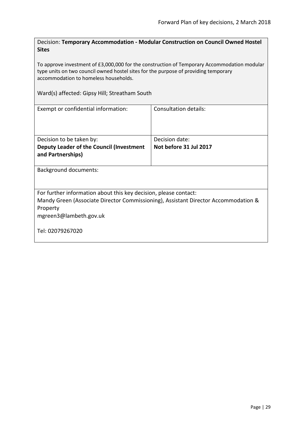<span id="page-28-0"></span>Decision: **Temporary Accommodation - Modular Construction on Council Owned Hostel Sites**

To approve investment of £3,000,000 for the construction of Temporary Accommodation modular type units on two council owned hostel sites for the purpose of providing temporary accommodation to homeless households.

Ward(s) affected: Gipsy Hill; Streatham South

| Exempt or confidential information:                                                | Consultation details:  |
|------------------------------------------------------------------------------------|------------------------|
|                                                                                    |                        |
|                                                                                    |                        |
|                                                                                    |                        |
| Decision to be taken by:                                                           | Decision date:         |
| Deputy Leader of the Council (Investment                                           | Not before 31 Jul 2017 |
| and Partnerships)                                                                  |                        |
|                                                                                    |                        |
| <b>Background documents:</b>                                                       |                        |
|                                                                                    |                        |
|                                                                                    |                        |
| For further information about this key decision, please contact:                   |                        |
| Mandy Green (Associate Director Commissioning), Assistant Director Accommodation & |                        |
| Property                                                                           |                        |
| mgreen3@lambeth.gov.uk                                                             |                        |
|                                                                                    |                        |
| Tel: 02079267020                                                                   |                        |
|                                                                                    |                        |
|                                                                                    |                        |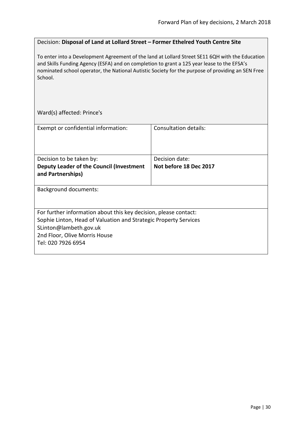#### <span id="page-29-0"></span>Decision: **Disposal of Land at Lollard Street – Former Ethelred Youth Centre Site**

To enter into a Development Agreement of the land at Lollard Street SE11 6QH with the Education and Skills Funding Agency (ESFA) and on completion to grant a 125 year lease to the EFSA's nominated school operator, the National Autistic Society for the purpose of providing an SEN Free School.

Ward(s) affected: Prince's

| Exempt or confidential information:                                                                                                                                                                                   | Consultation details:  |
|-----------------------------------------------------------------------------------------------------------------------------------------------------------------------------------------------------------------------|------------------------|
|                                                                                                                                                                                                                       |                        |
| Decision to be taken by:                                                                                                                                                                                              | Decision date:         |
| Deputy Leader of the Council (Investment<br>and Partnerships)                                                                                                                                                         | Not before 18 Dec 2017 |
|                                                                                                                                                                                                                       |                        |
| <b>Background documents:</b>                                                                                                                                                                                          |                        |
| For further information about this key decision, please contact:<br>Sophie Linton, Head of Valuation and Strategic Property Services<br>SLinton@lambeth.gov.uk<br>2nd Floor, Olive Morris House<br>Tel: 020 7926 6954 |                        |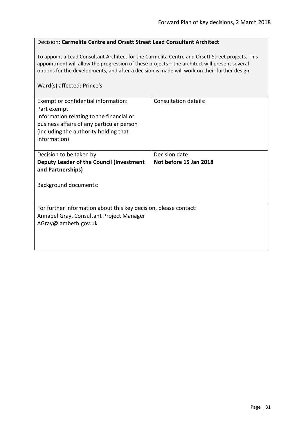## <span id="page-30-0"></span>Decision: **Carmelita Centre and Orsett Street Lead Consultant Architect**

To appoint a Lead Consultant Architect for the Carmelita Centre and Orsett Street projects. This appointment will allow the progression of these projects – the architect will present several options for the developments, and after a decision is made will work on their further design.

# Ward(s) affected: Prince's

| Exempt or confidential information:<br>Part exempt<br>Information relating to the financial or<br>business affairs of any particular person<br>(including the authority holding that<br>information) | <b>Consultation details:</b> |
|------------------------------------------------------------------------------------------------------------------------------------------------------------------------------------------------------|------------------------------|
| Decision to be taken by:                                                                                                                                                                             | Decision date:               |
| Deputy Leader of the Council (Investment<br>and Partnerships)                                                                                                                                        | Not before 15 Jan 2018       |
| <b>Background documents:</b>                                                                                                                                                                         |                              |
| For further information about this key decision, please contact:<br>Annabel Gray, Consultant Project Manager<br>AGray@lambeth.gov.uk                                                                 |                              |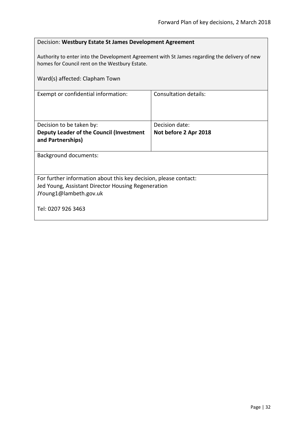<span id="page-31-0"></span>

| Decision: Westbury Estate St James Development Agreement                                                                                        |                              |  |
|-------------------------------------------------------------------------------------------------------------------------------------------------|------------------------------|--|
| Authority to enter into the Development Agreement with St James regarding the delivery of new<br>homes for Council rent on the Westbury Estate. |                              |  |
| Ward(s) affected: Clapham Town                                                                                                                  |                              |  |
| Exempt or confidential information:                                                                                                             | <b>Consultation details:</b> |  |
|                                                                                                                                                 |                              |  |
| Decision to be taken by:                                                                                                                        | Decision date:               |  |
| Deputy Leader of the Council (Investment<br>and Partnerships)                                                                                   | Not before 2 Apr 2018        |  |
| <b>Background documents:</b>                                                                                                                    |                              |  |
| For further information about this key decision, please contact:                                                                                |                              |  |
| Jed Young, Assistant Director Housing Regeneration                                                                                              |                              |  |
| JYoung1@lambeth.gov.uk                                                                                                                          |                              |  |
| Tel: 0207 926 3463                                                                                                                              |                              |  |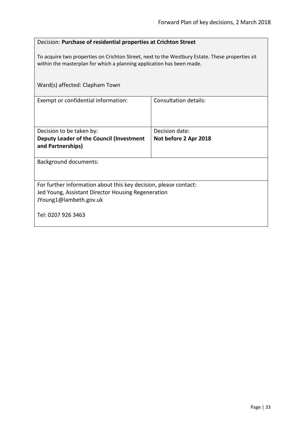<span id="page-32-0"></span>

| Decision: Purchase of residential properties at Crichton Street |  |
|-----------------------------------------------------------------|--|
|-----------------------------------------------------------------|--|

To acquire two properties on Crichton Street, next to the Westbury Estate. These properties sit within the masterplan for which a planning application has been made.

| Ward(s) affected: Clapham Town                                               |                       |  |
|------------------------------------------------------------------------------|-----------------------|--|
| Exempt or confidential information:                                          | Consultation details: |  |
| Decision to be taken by:                                                     | Decision date:        |  |
| Deputy Leader of the Council (Investment<br>and Partnerships)                | Not before 2 Apr 2018 |  |
| <b>Background documents:</b>                                                 |                       |  |
| For further information about this key decision, please contact:             |                       |  |
| Jed Young, Assistant Director Housing Regeneration<br>JYoung1@lambeth.gov.uk |                       |  |
|                                                                              |                       |  |
| Tel: 0207 926 3463                                                           |                       |  |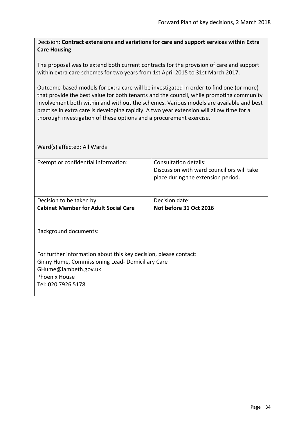<span id="page-33-0"></span>Decision: **Contract extensions and variations for care and support services within Extra Care Housing**

The proposal was to extend both current contracts for the provision of care and support within extra care schemes for two years from 1st April 2015 to 31st March 2017.

Outcome-based models for extra care will be investigated in order to find one (or more) that provide the best value for both tenants and the council, while promoting community involvement both within and without the schemes. Various models are available and best practise in extra care is developing rapidly. A two year extension will allow time for a thorough investigation of these options and a procurement exercise.

| Exempt or confidential information:                              | Consultation details:<br>Discussion with ward councillors will take |
|------------------------------------------------------------------|---------------------------------------------------------------------|
|                                                                  | place during the extension period.                                  |
|                                                                  |                                                                     |
| Decision to be taken by:                                         | Decision date:                                                      |
| <b>Cabinet Member for Adult Social Care</b>                      | Not before 31 Oct 2016                                              |
|                                                                  |                                                                     |
| <b>Background documents:</b>                                     |                                                                     |
|                                                                  |                                                                     |
|                                                                  |                                                                     |
| For further information about this key decision, please contact: |                                                                     |
| Ginny Hume, Commissioning Lead-Domiciliary Care                  |                                                                     |
| GHume@lambeth.gov.uk                                             |                                                                     |
| <b>Phoenix House</b>                                             |                                                                     |
| Tel: 020 7926 5178                                               |                                                                     |
|                                                                  |                                                                     |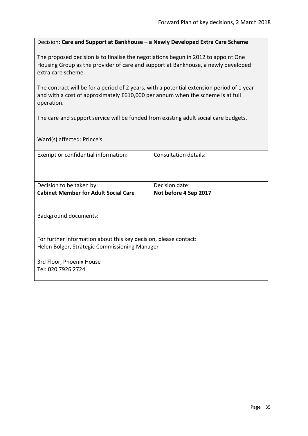# <span id="page-34-0"></span>Decision: **Care and Support at Bankhouse – a Newly Developed Extra Care Scheme**

The proposed decision is to finalise the negotiations begun in 2012 to appoint One Housing Group as the provider of care and support at Bankhouse, a newly developed extra care scheme.

The contract will be for a period of 2 years, with a potential extension period of 1 year and with a cost of approximately £610,000 per annum when the scheme is at full operation.

The care and support service will be funded from existing adult social care budgets.

Ward(s) affected: Prince's

| Exempt or confidential information:                              | Consultation details: |
|------------------------------------------------------------------|-----------------------|
|                                                                  |                       |
|                                                                  |                       |
| Decision to be taken by:                                         | Decision date:        |
| <b>Cabinet Member for Adult Social Care</b>                      | Not before 4 Sep 2017 |
|                                                                  |                       |
|                                                                  |                       |
| <b>Background documents:</b>                                     |                       |
|                                                                  |                       |
| For further information about this key decision, please contact: |                       |
| Helen Bolger, Strategic Commissioning Manager                    |                       |
|                                                                  |                       |
| 3rd Floor, Phoenix House                                         |                       |
| Tel: 020 7926 2724                                               |                       |
|                                                                  |                       |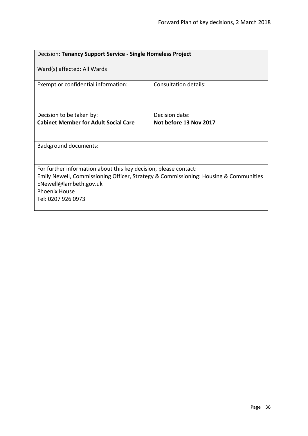<span id="page-35-0"></span>

| Decision: Tenancy Support Service - Single Homeless Project                                                                                                                                                                      |                        |  |
|----------------------------------------------------------------------------------------------------------------------------------------------------------------------------------------------------------------------------------|------------------------|--|
| Ward(s) affected: All Wards                                                                                                                                                                                                      |                        |  |
| Exempt or confidential information:                                                                                                                                                                                              | Consultation details:  |  |
| Decision to be taken by:                                                                                                                                                                                                         | Decision date:         |  |
| <b>Cabinet Member for Adult Social Care</b>                                                                                                                                                                                      | Not before 13 Nov 2017 |  |
| <b>Background documents:</b>                                                                                                                                                                                                     |                        |  |
| For further information about this key decision, please contact:<br>Emily Newell, Commissioning Officer, Strategy & Commissioning: Housing & Communities<br>ENewell@lambeth.gov.uk<br><b>Phoenix House</b><br>Tel: 0207 926 0973 |                        |  |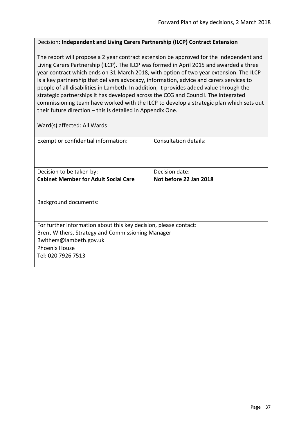# Decision: **Independent and Living Carers Partnership (ILCP) Contract Extension**

The report will propose a 2 year contract extension be approved for the Independent and Living Carers Partnership (ILCP). The ILCP was formed in April 2015 and awarded a three year contract which ends on 31 March 2018, with option of two year extension. The ILCP is a key partnership that delivers advocacy, information, advice and carers services to people of all disabilities in Lambeth. In addition, it provides added value through the strategic partnerships it has developed across the CCG and Council. The integrated commissioning team have worked with the ILCP to develop a strategic plan which sets out their future direction – this is detailed in Appendix One.

| Exempt or confidential information:                              | Consultation details:  |
|------------------------------------------------------------------|------------------------|
|                                                                  |                        |
|                                                                  |                        |
| Decision to be taken by:                                         | Decision date:         |
| <b>Cabinet Member for Adult Social Care</b>                      | Not before 22 Jan 2018 |
|                                                                  |                        |
| <b>Background documents:</b>                                     |                        |
|                                                                  |                        |
|                                                                  |                        |
| For further information about this key decision, please contact: |                        |
| Brent Withers, Strategy and Commissioning Manager                |                        |
| Bwithers@lambeth.gov.uk                                          |                        |
| <b>Phoenix House</b>                                             |                        |
| Tel: 020 7926 7513                                               |                        |
|                                                                  |                        |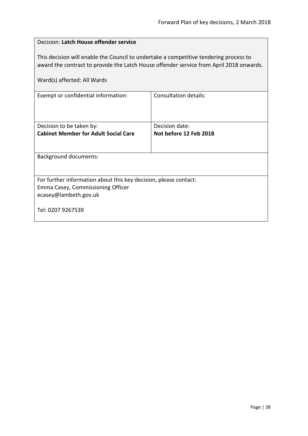| Decision: Latch House offender service                                                                                                                                                                          |                        |  |
|-----------------------------------------------------------------------------------------------------------------------------------------------------------------------------------------------------------------|------------------------|--|
| This decision will enable the Council to undertake a competitive tendering process to<br>award the contract to provide the Latch House offender service from April 2018 onwards.<br>Ward(s) affected: All Wards |                        |  |
| <b>Consultation details:</b><br>Exempt or confidential information:                                                                                                                                             |                        |  |
|                                                                                                                                                                                                                 |                        |  |
| Decision to be taken by:                                                                                                                                                                                        | Decision date:         |  |
| <b>Cabinet Member for Adult Social Care</b>                                                                                                                                                                     | Not before 12 Feb 2018 |  |
|                                                                                                                                                                                                                 |                        |  |
| <b>Background documents:</b>                                                                                                                                                                                    |                        |  |
|                                                                                                                                                                                                                 |                        |  |
| For further information about this key decision, please contact:                                                                                                                                                |                        |  |
| Emma Casey, Commissioning Officer                                                                                                                                                                               |                        |  |
| ecasey@lambeth.gov.uk                                                                                                                                                                                           |                        |  |
| Tel: 0207 9267539                                                                                                                                                                                               |                        |  |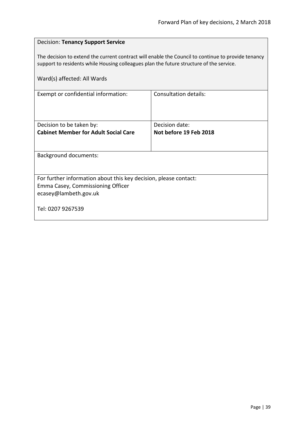| <b>Decision: Tenancy Support Service</b>                                                                                                                                                      |                        |  |
|-----------------------------------------------------------------------------------------------------------------------------------------------------------------------------------------------|------------------------|--|
| The decision to extend the current contract will enable the Council to continue to provide tenancy<br>support to residents while Housing colleagues plan the future structure of the service. |                        |  |
| Ward(s) affected: All Wards                                                                                                                                                                   |                        |  |
| Exempt or confidential information:                                                                                                                                                           | Consultation details:  |  |
| Decision to be taken by:                                                                                                                                                                      | Decision date:         |  |
| <b>Cabinet Member for Adult Social Care</b>                                                                                                                                                   | Not before 19 Feb 2018 |  |
| <b>Background documents:</b>                                                                                                                                                                  |                        |  |
| For further information about this key decision, please contact:                                                                                                                              |                        |  |
| Emma Casey, Commissioning Officer                                                                                                                                                             |                        |  |
| ecasey@lambeth.gov.uk<br>Tel: 0207 9267539                                                                                                                                                    |                        |  |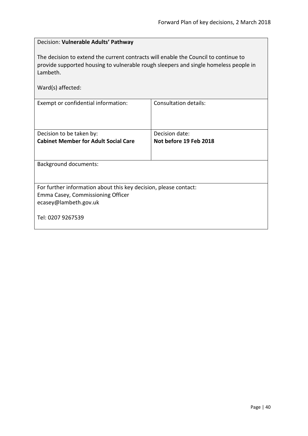| Decision: Vulnerable Adults' Pathway                                                                                                                                                    |                              |  |
|-----------------------------------------------------------------------------------------------------------------------------------------------------------------------------------------|------------------------------|--|
| The decision to extend the current contracts will enable the Council to continue to<br>provide supported housing to vulnerable rough sleepers and single homeless people in<br>Lambeth. |                              |  |
| Ward(s) affected:                                                                                                                                                                       |                              |  |
| Exempt or confidential information:                                                                                                                                                     | <b>Consultation details:</b> |  |
| Decision to be taken by:                                                                                                                                                                | Decision date:               |  |
| <b>Cabinet Member for Adult Social Care</b>                                                                                                                                             | Not before 19 Feb 2018       |  |
|                                                                                                                                                                                         |                              |  |
| <b>Background documents:</b>                                                                                                                                                            |                              |  |
|                                                                                                                                                                                         |                              |  |
| For further information about this key decision, please contact:                                                                                                                        |                              |  |
| Emma Casey, Commissioning Officer                                                                                                                                                       |                              |  |
| ecasey@lambeth.gov.uk                                                                                                                                                                   |                              |  |
| Tel: 0207 9267539                                                                                                                                                                       |                              |  |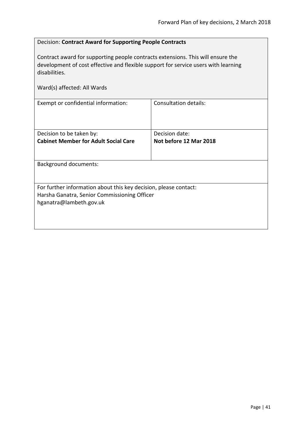| Decision: Contract Award for Supporting People Contracts                                                                                                                               |                        |  |
|----------------------------------------------------------------------------------------------------------------------------------------------------------------------------------------|------------------------|--|
| Contract award for supporting people contracts extensions. This will ensure the<br>development of cost effective and flexible support for service users with learning<br>disabilities. |                        |  |
| Ward(s) affected: All Wards                                                                                                                                                            |                        |  |
| Exempt or confidential information:                                                                                                                                                    | Consultation details:  |  |
| Decision to be taken by:                                                                                                                                                               | Decision date:         |  |
| <b>Cabinet Member for Adult Social Care</b>                                                                                                                                            | Not before 12 Mar 2018 |  |
| Background documents:                                                                                                                                                                  |                        |  |
| For further information about this key decision, please contact:                                                                                                                       |                        |  |
| Harsha Ganatra, Senior Commissioning Officer                                                                                                                                           |                        |  |
| hganatra@lambeth.gov.uk                                                                                                                                                                |                        |  |
|                                                                                                                                                                                        |                        |  |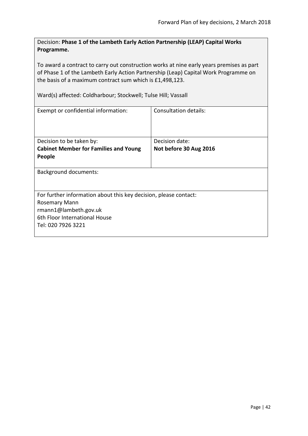Decision: **Phase 1 of the Lambeth Early Action Partnership (LEAP) Capital Works Programme.**

To award a contract to carry out construction works at nine early years premises as part of Phase 1 of the Lambeth Early Action Partnership (Leap) Capital Work Programme on the basis of a maximum contract sum which is £1,498,123.

Ward(s) affected: Coldharbour; Stockwell; Tulse Hill; Vassall

| Exempt or confidential information:                              | Consultation details:  |  |
|------------------------------------------------------------------|------------------------|--|
|                                                                  |                        |  |
| Decision to be taken by:                                         | Decision date:         |  |
| <b>Cabinet Member for Families and Young</b>                     | Not before 30 Aug 2016 |  |
| People                                                           |                        |  |
| <b>Background documents:</b>                                     |                        |  |
| For further information about this key decision, please contact: |                        |  |
| Rosemary Mann                                                    |                        |  |
| rmann1@lambeth.gov.uk                                            |                        |  |
| 6th Floor International House                                    |                        |  |
| Tel: 020 7926 3221                                               |                        |  |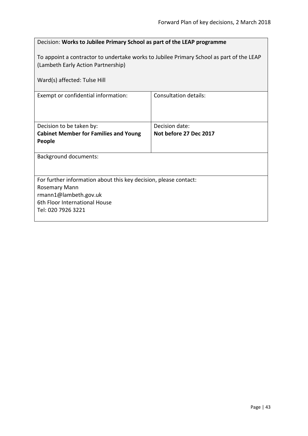| Decision: Works to Jubilee Primary School as part of the LEAP programme                                                        |                              |  |
|--------------------------------------------------------------------------------------------------------------------------------|------------------------------|--|
| To appoint a contractor to undertake works to Jubilee Primary School as part of the LEAP<br>(Lambeth Early Action Partnership) |                              |  |
| Ward(s) affected: Tulse Hill                                                                                                   |                              |  |
| Exempt or confidential information:                                                                                            | <b>Consultation details:</b> |  |
| Decision to be taken by:                                                                                                       | Decision date:               |  |
| <b>Cabinet Member for Families and Young</b><br>People                                                                         | Not before 27 Dec 2017       |  |
| <b>Background documents:</b>                                                                                                   |                              |  |
| For further information about this key decision, please contact:<br>Rosemary Mann                                              |                              |  |
| rmann1@lambeth.gov.uk                                                                                                          |                              |  |
| 6th Floor International House                                                                                                  |                              |  |
| Tel: 020 7926 3221                                                                                                             |                              |  |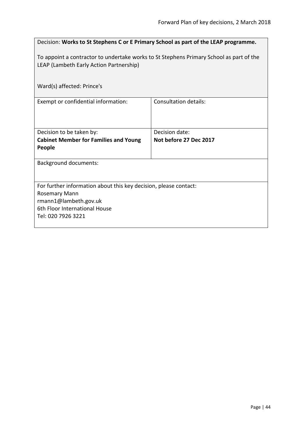| Decision: Works to St Stephens C or E Primary School as part of the LEAP programme.                                                |                              |  |
|------------------------------------------------------------------------------------------------------------------------------------|------------------------------|--|
| To appoint a contractor to undertake works to St Stephens Primary School as part of the<br>LEAP (Lambeth Early Action Partnership) |                              |  |
| Ward(s) affected: Prince's                                                                                                         |                              |  |
| Exempt or confidential information:                                                                                                | <b>Consultation details:</b> |  |
| Decision to be taken by:                                                                                                           | Decision date:               |  |
| <b>Cabinet Member for Families and Young</b><br>People                                                                             | Not before 27 Dec 2017       |  |
| <b>Background documents:</b>                                                                                                       |                              |  |
|                                                                                                                                    |                              |  |
| For further information about this key decision, please contact:                                                                   |                              |  |
| Rosemary Mann                                                                                                                      |                              |  |
| rmann1@lambeth.gov.uk<br>6th Floor International House                                                                             |                              |  |
| Tel: 020 7926 3221                                                                                                                 |                              |  |
|                                                                                                                                    |                              |  |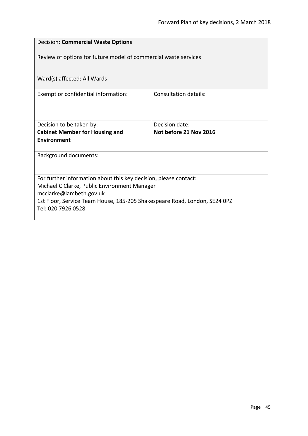| <b>Decision: Commercial Waste Options</b>                                 |                              |  |
|---------------------------------------------------------------------------|------------------------------|--|
| Review of options for future model of commercial waste services           |                              |  |
| Ward(s) affected: All Wards                                               |                              |  |
| Exempt or confidential information:                                       | <b>Consultation details:</b> |  |
|                                                                           |                              |  |
| Decision to be taken by:                                                  | Decision date:               |  |
| <b>Cabinet Member for Housing and</b>                                     | Not before 21 Nov 2016       |  |
| <b>Environment</b>                                                        |                              |  |
| <b>Background documents:</b>                                              |                              |  |
|                                                                           |                              |  |
| For further information about this key decision, please contact:          |                              |  |
| Michael C Clarke, Public Environment Manager<br>mcclarke@lambeth.gov.uk   |                              |  |
| 1st Floor, Service Team House, 185-205 Shakespeare Road, London, SE24 0PZ |                              |  |
| Tel: 020 7926 0528                                                        |                              |  |
|                                                                           |                              |  |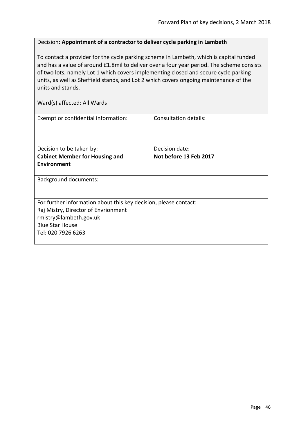### Decision: **Appointment of a contractor to deliver cycle parking in Lambeth**

To contact a provider for the cycle parking scheme in Lambeth, which is capital funded and has a value of around £1.8mil to deliver over a four year period. The scheme consists of two lots, namely Lot 1 which covers implementing closed and secure cycle parking units, as well as Sheffield stands, and Lot 2 which covers ongoing maintenance of the units and stands.

| Exempt or confidential information:                              | <b>Consultation details:</b> |
|------------------------------------------------------------------|------------------------------|
| Decision to be taken by:                                         | Decision date:               |
| <b>Cabinet Member for Housing and</b>                            | Not before 13 Feb 2017       |
| <b>Environment</b>                                               |                              |
| <b>Background documents:</b>                                     |                              |
| For further information about this key decision, please contact: |                              |
| Raj Mistry, Director of Envrionment                              |                              |
| rmistry@lambeth.gov.uk                                           |                              |
| <b>Blue Star House</b>                                           |                              |
| Tel: 020 7926 6263                                               |                              |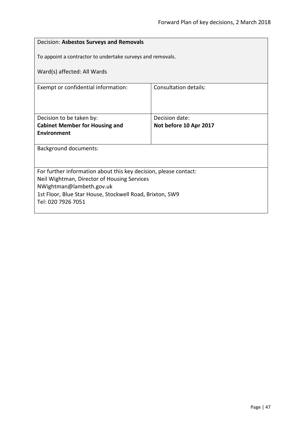| Decision: Asbestos Surveys and Removals                          |                              |  |
|------------------------------------------------------------------|------------------------------|--|
| To appoint a contractor to undertake surveys and removals.       |                              |  |
| Ward(s) affected: All Wards                                      |                              |  |
| Exempt or confidential information:                              | <b>Consultation details:</b> |  |
|                                                                  |                              |  |
| Decision to be taken by:                                         | Decision date:               |  |
| <b>Cabinet Member for Housing and</b>                            | Not before 10 Apr 2017       |  |
| <b>Environment</b>                                               |                              |  |
| <b>Background documents:</b>                                     |                              |  |
|                                                                  |                              |  |
| For further information about this key decision, please contact: |                              |  |
| Neil Wightman, Director of Housing Services                      |                              |  |
| NWightman@lambeth.gov.uk                                         |                              |  |
| 1st Floor, Blue Star House, Stockwell Road, Brixton, SW9         |                              |  |
| Tel: 020 7926 7051                                               |                              |  |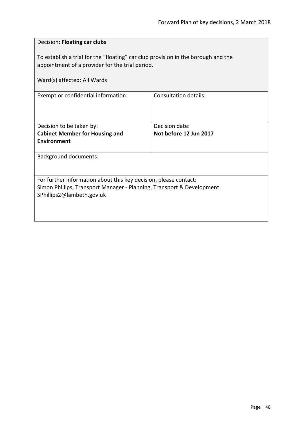| Decision: Floating car clubs                                                                                                                                           |                              |  |
|------------------------------------------------------------------------------------------------------------------------------------------------------------------------|------------------------------|--|
| To establish a trial for the "floating" car club provision in the borough and the<br>appointment of a provider for the trial period.                                   |                              |  |
| Ward(s) affected: All Wards                                                                                                                                            |                              |  |
| Exempt or confidential information:                                                                                                                                    | <b>Consultation details:</b> |  |
| Decision to be taken by:                                                                                                                                               | Decision date:               |  |
| <b>Cabinet Member for Housing and</b><br><b>Environment</b>                                                                                                            | Not before 12 Jun 2017       |  |
| <b>Background documents:</b>                                                                                                                                           |                              |  |
| For further information about this key decision, please contact:<br>Simon Phillips, Transport Manager - Planning, Transport & Development<br>SPhillips2@lambeth.gov.uk |                              |  |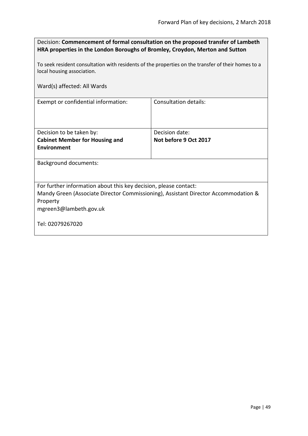| Decision: Commencement of formal consultation on the proposed transfer of Lambeth |
|-----------------------------------------------------------------------------------|
| HRA properties in the London Boroughs of Bromley, Croydon, Merton and Sutton      |

To seek resident consultation with residents of the properties on the transfer of their homes to a local housing association.

Ward(s) affected: All Wards

Exempt or confidential information: Consultation details:

| Decision to be taken by:              | Decision date:        |
|---------------------------------------|-----------------------|
| <b>Cabinet Member for Housing and</b> | Not before 9 Oct 2017 |
| Environment                           |                       |
|                                       |                       |

Background documents:

For further information about this key decision, please contact:

Mandy Green (Associate Director Commissioning), Assistant Director Accommodation & Property

mgreen3@lambeth.gov.uk

Tel: 02079267020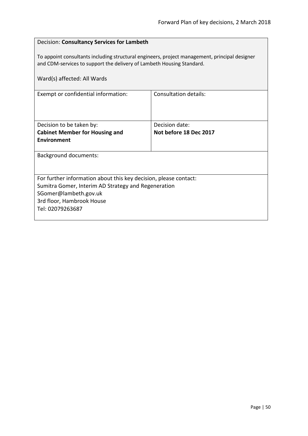# Decision: **Consultancy Services for Lambeth** To appoint consultants including structural engineers, project management, principal designer and CDM-services to support the delivery of Lambeth Housing Standard. Ward(s) affected: All Wards Exempt or confidential information: Consultation details: Decision to be taken by: **Cabinet Member for Housing and Environment** Decision date: **Not before 18 Dec 2017** Background documents: For further information about this key decision, please contact: Sumitra Gomer, Interim AD Strategy and Regeneration SGomer@lambeth.gov.uk 3rd floor, Hambrook House Tel: 02079263687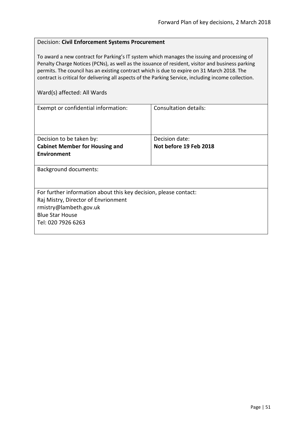# Decision: **Civil Enforcement Systems Procurement**

To award a new contract for Parking's IT system which manages the issuing and processing of Penalty Charge Notices (PCNs), as well as the issuance of resident, visitor and business parking permits. The council has an existing contract which is due to expire on 31 March 2018. The contract is critical for delivering all aspects of the Parking Service, including income collection.

| Exempt or confidential information:                              | <b>Consultation details:</b> |  |
|------------------------------------------------------------------|------------------------------|--|
|                                                                  |                              |  |
|                                                                  |                              |  |
|                                                                  |                              |  |
| Decision to be taken by:                                         | Decision date:               |  |
| <b>Cabinet Member for Housing and</b>                            | Not before 19 Feb 2018       |  |
| Environment                                                      |                              |  |
|                                                                  |                              |  |
| Background documents:                                            |                              |  |
|                                                                  |                              |  |
|                                                                  |                              |  |
| For further information about this key decision, please contact: |                              |  |
| Raj Mistry, Director of Envrionment                              |                              |  |
| rmistry@lambeth.gov.uk                                           |                              |  |
| <b>Blue Star House</b>                                           |                              |  |
| Tel: 020 7926 6263                                               |                              |  |
|                                                                  |                              |  |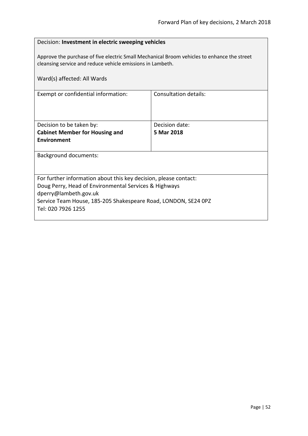# Decision: **Investment in electric sweeping vehicles** Approve the purchase of five electric Small Mechanical Broom vehicles to enhance the street cleansing service and reduce vehicle emissions in Lambeth. Ward(s) affected: All Wards Exempt or confidential information: Consultation details: Decision to be taken by: **Cabinet Member for Housing and Environment** Decision date: **5 Mar 2018** Background documents: For further information about this key decision, please contact: Doug Perry, Head of Environmental Services & Highways dperry@lambeth.gov.uk Service Team House, 185-205 Shakespeare Road, LONDON, SE24 0PZ Tel: 020 7926 1255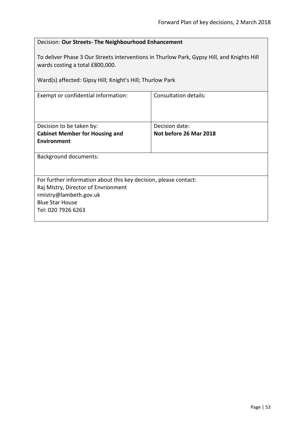| Decision: Our Streets- The Neighbourhood Enhancement                                                                          |                              |  |
|-------------------------------------------------------------------------------------------------------------------------------|------------------------------|--|
| To deliver Phase 3 Our Streets interventions in Thurlow Park, Gypsy Hill, and Knights Hill<br>wards costing a total £800,000. |                              |  |
| Ward(s) affected: Gipsy Hill; Knight's Hill; Thurlow Park                                                                     |                              |  |
| Exempt or confidential information:                                                                                           | <b>Consultation details:</b> |  |
|                                                                                                                               |                              |  |
| Decision to be taken by:                                                                                                      | Decision date:               |  |
| Not before 26 Mar 2018<br><b>Cabinet Member for Housing and</b>                                                               |                              |  |
| Environment                                                                                                                   |                              |  |
| <b>Background documents:</b>                                                                                                  |                              |  |
| For further information about this key decision, please contact:                                                              |                              |  |
| Raj Mistry, Director of Envrionment                                                                                           |                              |  |
| rmistry@lambeth.gov.uk<br><b>Blue Star House</b>                                                                              |                              |  |
| Tel: 020 7926 6263                                                                                                            |                              |  |
|                                                                                                                               |                              |  |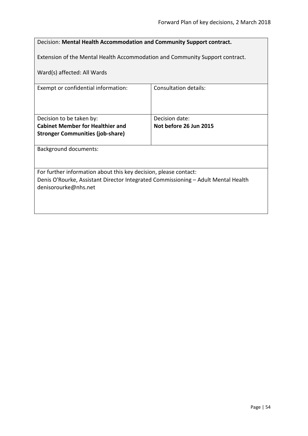| Decision: Mental Health Accommodation and Community Support contract.                                     |                        |  |
|-----------------------------------------------------------------------------------------------------------|------------------------|--|
| Extension of the Mental Health Accommodation and Community Support contract.                              |                        |  |
| Ward(s) affected: All Wards                                                                               |                        |  |
| Exempt or confidential information:                                                                       | Consultation details:  |  |
|                                                                                                           |                        |  |
| Decision to be taken by:                                                                                  | Decision date:         |  |
| <b>Cabinet Member for Healthier and</b>                                                                   | Not before 26 Jun 2015 |  |
| <b>Stronger Communities (job-share)</b>                                                                   |                        |  |
| <b>Background documents:</b>                                                                              |                        |  |
|                                                                                                           |                        |  |
| For further information about this key decision, please contact:                                          |                        |  |
| Denis O'Rourke, Assistant Director Integrated Commissioning - Adult Mental Health<br>denisorourke@nhs.net |                        |  |
|                                                                                                           |                        |  |
|                                                                                                           |                        |  |
|                                                                                                           |                        |  |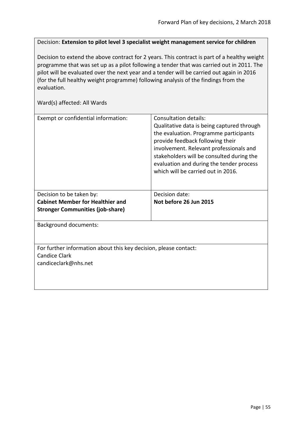Decision: **Extension to pilot level 3 specialist weight management service for children**

Decision to extend the above contract for 2 years. This contract is part of a healthy weight programme that was set up as a pilot following a tender that was carried out in 2011. The pilot will be evaluated over the next year and a tender will be carried out again in 2016 (for the full healthy weight programme) following analysis of the findings from the evaluation.

| Exempt or confidential information:                                                                              | Consultation details:<br>Qualitative data is being captured through<br>the evaluation. Programme participants<br>provide feedback following their<br>involvement. Relevant professionals and<br>stakeholders will be consulted during the<br>evaluation and during the tender process<br>which will be carried out in 2016. |
|------------------------------------------------------------------------------------------------------------------|-----------------------------------------------------------------------------------------------------------------------------------------------------------------------------------------------------------------------------------------------------------------------------------------------------------------------------|
| Decision to be taken by:                                                                                         | Decision date:                                                                                                                                                                                                                                                                                                              |
| <b>Cabinet Member for Healthier and</b>                                                                          | Not before 26 Jun 2015                                                                                                                                                                                                                                                                                                      |
| <b>Stronger Communities (job-share)</b>                                                                          |                                                                                                                                                                                                                                                                                                                             |
| Background documents:                                                                                            |                                                                                                                                                                                                                                                                                                                             |
| For further information about this key decision, please contact:<br><b>Candice Clark</b><br>candiceclark@nhs.net |                                                                                                                                                                                                                                                                                                                             |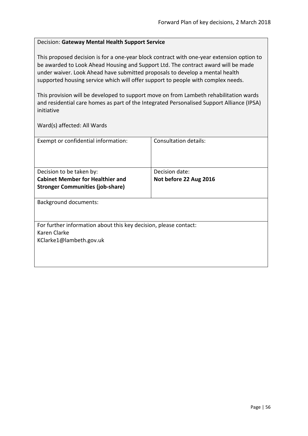# Decision: **Gateway Mental Health Support Service**

This proposed decision is for a one-year block contract with one-year extension option to be awarded to Look Ahead Housing and Support Ltd. The contract award will be made under waiver. Look Ahead have submitted proposals to develop a mental health supported housing service which will offer support to people with complex needs.

This provision will be developed to support move on from Lambeth rehabilitation wards and residential care homes as part of the Integrated Personalised Support Alliance (IPSA) initiative

| Exempt or confidential information:                              | Consultation details:  |  |
|------------------------------------------------------------------|------------------------|--|
|                                                                  |                        |  |
|                                                                  |                        |  |
|                                                                  |                        |  |
| Decision to be taken by:                                         | Decision date:         |  |
| <b>Cabinet Member for Healthier and</b>                          | Not before 22 Aug 2016 |  |
| <b>Stronger Communities (job-share)</b>                          |                        |  |
|                                                                  |                        |  |
| <b>Background documents:</b>                                     |                        |  |
|                                                                  |                        |  |
|                                                                  |                        |  |
| For further information about this key decision, please contact: |                        |  |
| Karen Clarke                                                     |                        |  |
| KClarke1@lambeth.gov.uk                                          |                        |  |
|                                                                  |                        |  |
|                                                                  |                        |  |
|                                                                  |                        |  |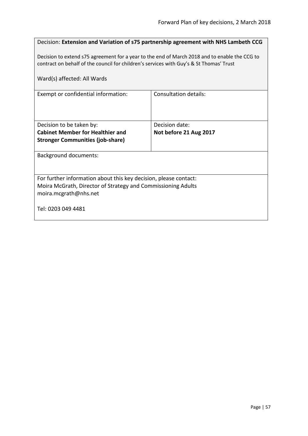| Decision: Extension and Variation of s75 partnership agreement with NHS Lambeth CCG                                                                                                      |                        |  |
|------------------------------------------------------------------------------------------------------------------------------------------------------------------------------------------|------------------------|--|
| Decision to extend s75 agreement for a year to the end of March 2018 and to enable the CCG to<br>contract on behalf of the council for children's services with Guy's & St Thomas' Trust |                        |  |
| Ward(s) affected: All Wards                                                                                                                                                              |                        |  |
| Exempt or confidential information:                                                                                                                                                      | Consultation details:  |  |
|                                                                                                                                                                                          |                        |  |
| Decision to be taken by:                                                                                                                                                                 | Decision date:         |  |
| <b>Cabinet Member for Healthier and</b>                                                                                                                                                  | Not before 21 Aug 2017 |  |
| <b>Stronger Communities (job-share)</b>                                                                                                                                                  |                        |  |
| <b>Background documents:</b>                                                                                                                                                             |                        |  |
|                                                                                                                                                                                          |                        |  |
| For further information about this key decision, please contact:                                                                                                                         |                        |  |
| Moira McGrath, Director of Strategy and Commissioning Adults                                                                                                                             |                        |  |
| moira.mcgrath@nhs.net                                                                                                                                                                    |                        |  |
| Tel: 0203 049 4481                                                                                                                                                                       |                        |  |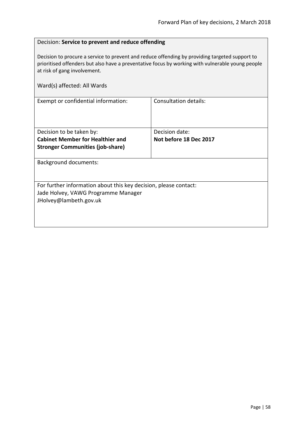# Decision: **Service to prevent and reduce offending**

Decision to procure a service to prevent and reduce offending by providing targeted support to prioritised offenders but also have a preventative focus by working with vulnerable young people at risk of gang involvement.

| Ward(s) affected: All Wards                                      |                        |  |
|------------------------------------------------------------------|------------------------|--|
| Exempt or confidential information:                              | Consultation details:  |  |
| Decision to be taken by:                                         | Decision date:         |  |
| <b>Cabinet Member for Healthier and</b>                          | Not before 18 Dec 2017 |  |
| <b>Stronger Communities (job-share)</b>                          |                        |  |
| <b>Background documents:</b>                                     |                        |  |
| For further information about this key decision, please contact: |                        |  |
| Jade Holvey, VAWG Programme Manager                              |                        |  |
| JHolvey@lambeth.gov.uk                                           |                        |  |
|                                                                  |                        |  |
|                                                                  |                        |  |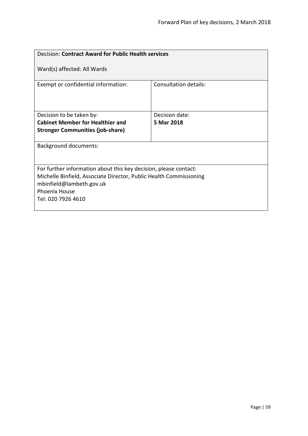| <b>Decision: Contract Award for Public Health services</b>                                                                                                                                                       |                       |  |
|------------------------------------------------------------------------------------------------------------------------------------------------------------------------------------------------------------------|-----------------------|--|
| Ward(s) affected: All Wards                                                                                                                                                                                      |                       |  |
| Exempt or confidential information:                                                                                                                                                                              | Consultation details: |  |
| Decision to be taken by:                                                                                                                                                                                         | Decision date:        |  |
| <b>Cabinet Member for Healthier and</b>                                                                                                                                                                          | 5 Mar 2018            |  |
| <b>Stronger Communities (job-share)</b>                                                                                                                                                                          |                       |  |
| <b>Background documents:</b>                                                                                                                                                                                     |                       |  |
| For further information about this key decision, please contact:<br>Michelle Binfield, Associate Director, Public Health Commissioning<br>mbinfield@lambeth.gov.uk<br><b>Phoenix House</b><br>Tel: 020 7926 4610 |                       |  |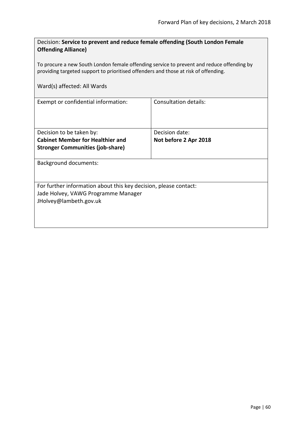| Decision: Service to prevent and reduce female offending (South London Female<br><b>Offending Alliance)</b>                                                                      |                              |  |
|----------------------------------------------------------------------------------------------------------------------------------------------------------------------------------|------------------------------|--|
| To procure a new South London female offending service to prevent and reduce offending by<br>providing targeted support to prioritised offenders and those at risk of offending. |                              |  |
| Ward(s) affected: All Wards                                                                                                                                                      |                              |  |
| Exempt or confidential information:                                                                                                                                              | <b>Consultation details:</b> |  |
| Decision to be taken by:                                                                                                                                                         | Decision date:               |  |
| <b>Cabinet Member for Healthier and</b>                                                                                                                                          | Not before 2 Apr 2018        |  |
| <b>Stronger Communities (job-share)</b>                                                                                                                                          |                              |  |
| <b>Background documents:</b>                                                                                                                                                     |                              |  |
| For further information about this key decision, please contact:<br>Jade Holvey, VAWG Programme Manager<br>JHolvey@lambeth.gov.uk                                                |                              |  |
|                                                                                                                                                                                  |                              |  |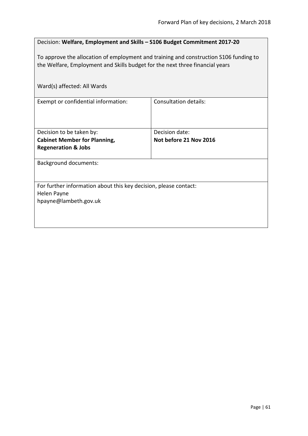| Decision: Welfare, Employment and Skills - S106 Budget Commitment 2017-20                                                                                             |                              |  |
|-----------------------------------------------------------------------------------------------------------------------------------------------------------------------|------------------------------|--|
| To approve the allocation of employment and training and construction S106 funding to<br>the Welfare, Employment and Skills budget for the next three financial years |                              |  |
| Ward(s) affected: All Wards                                                                                                                                           |                              |  |
| Exempt or confidential information:                                                                                                                                   | <b>Consultation details:</b> |  |
| Decision to be taken by:                                                                                                                                              | Decision date:               |  |
| <b>Cabinet Member for Planning,</b>                                                                                                                                   | Not before 21 Nov 2016       |  |
| <b>Regeneration &amp; Jobs</b>                                                                                                                                        |                              |  |
| <b>Background documents:</b>                                                                                                                                          |                              |  |
|                                                                                                                                                                       |                              |  |
| For further information about this key decision, please contact:                                                                                                      |                              |  |
| Helen Payne                                                                                                                                                           |                              |  |
| hpayne@lambeth.gov.uk                                                                                                                                                 |                              |  |
|                                                                                                                                                                       |                              |  |
|                                                                                                                                                                       |                              |  |
|                                                                                                                                                                       |                              |  |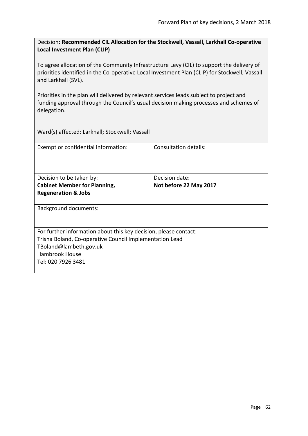Decision: **Recommended CIL Allocation for the Stockwell, Vassall, Larkhall Co-operative Local Investment Plan (CLIP)**

To agree allocation of the Community Infrastructure Levy (CIL) to support the delivery of priorities identified in the Co-operative Local Investment Plan (CLIP) for Stockwell, Vassall and Larkhall (SVL).

Priorities in the plan will delivered by relevant services leads subject to project and funding approval through the Council's usual decision making processes and schemes of delegation.

Ward(s) affected: Larkhall; Stockwell; Vassall

| Exempt or confidential information:                                                                                                                                                                  | Consultation details:                    |
|------------------------------------------------------------------------------------------------------------------------------------------------------------------------------------------------------|------------------------------------------|
| Decision to be taken by:<br><b>Cabinet Member for Planning,</b><br><b>Regeneration &amp; Jobs</b>                                                                                                    | Decision date:<br>Not before 22 May 2017 |
| <b>Background documents:</b>                                                                                                                                                                         |                                          |
| For further information about this key decision, please contact:<br>Trisha Boland, Co-operative Council Implementation Lead<br>TBoland@lambeth.gov.uk<br><b>Hambrook House</b><br>Tel: 020 7926 3481 |                                          |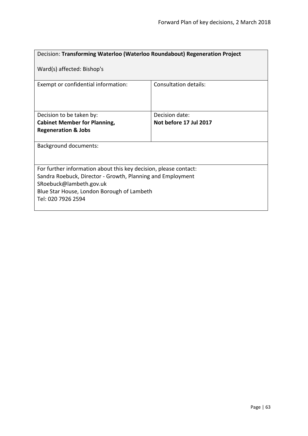| Decision: Transforming Waterloo (Waterloo Roundabout) Regeneration Project                                                                                                                                                    |                              |  |
|-------------------------------------------------------------------------------------------------------------------------------------------------------------------------------------------------------------------------------|------------------------------|--|
| Ward(s) affected: Bishop's                                                                                                                                                                                                    |                              |  |
| Exempt or confidential information:                                                                                                                                                                                           | <b>Consultation details:</b> |  |
| Decision to be taken by:                                                                                                                                                                                                      | Decision date:               |  |
| Not before 17 Jul 2017<br><b>Cabinet Member for Planning,</b>                                                                                                                                                                 |                              |  |
| <b>Regeneration &amp; Jobs</b>                                                                                                                                                                                                |                              |  |
| <b>Background documents:</b>                                                                                                                                                                                                  |                              |  |
| For further information about this key decision, please contact:<br>Sandra Roebuck, Director - Growth, Planning and Employment<br>SRoebuck@lambeth.gov.uk<br>Blue Star House, London Borough of Lambeth<br>Tel: 020 7926 2594 |                              |  |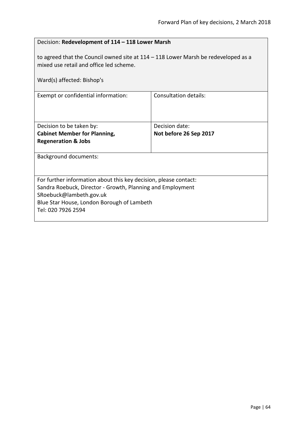| Decision: Redevelopment of 114 - 118 Lower Marsh                                                                                |                              |  |
|---------------------------------------------------------------------------------------------------------------------------------|------------------------------|--|
| to agreed that the Council owned site at $114 - 118$ Lower Marsh be redeveloped as a<br>mixed use retail and office led scheme. |                              |  |
| Ward(s) affected: Bishop's                                                                                                      |                              |  |
| Exempt or confidential information:                                                                                             | <b>Consultation details:</b> |  |
|                                                                                                                                 |                              |  |
| Decision to be taken by:                                                                                                        | Decision date:               |  |
| <b>Cabinet Member for Planning,</b>                                                                                             | Not before 26 Sep 2017       |  |
| <b>Regeneration &amp; Jobs</b>                                                                                                  |                              |  |
| <b>Background documents:</b>                                                                                                    |                              |  |
|                                                                                                                                 |                              |  |
| For further information about this key decision, please contact:                                                                |                              |  |
| Sandra Roebuck, Director - Growth, Planning and Employment                                                                      |                              |  |
| SRoebuck@lambeth.gov.uk<br>Blue Star House, London Borough of Lambeth                                                           |                              |  |
| Tel: 020 7926 2594                                                                                                              |                              |  |
|                                                                                                                                 |                              |  |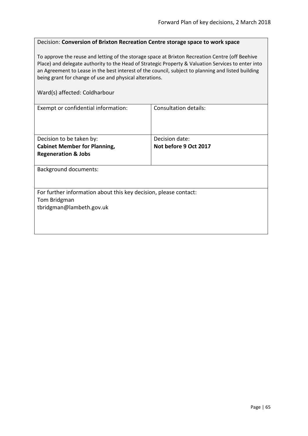# Decision: **Conversion of Brixton Recreation Centre storage space to work space**

To approve the reuse and letting of the storage space at Brixton Recreation Centre (off Beehive Place) and delegate authority to the Head of Strategic Property & Valuation Services to enter into an Agreement to Lease in the best interest of the council, subject to planning and listed building being grant for change of use and physical alterations.

#### Ward(s) affected: Coldharbour

| Consultation details:                                            |  |
|------------------------------------------------------------------|--|
|                                                                  |  |
|                                                                  |  |
|                                                                  |  |
| Decision date:                                                   |  |
| Not before 9 Oct 2017                                            |  |
|                                                                  |  |
|                                                                  |  |
| <b>Background documents:</b>                                     |  |
|                                                                  |  |
|                                                                  |  |
| For further information about this key decision, please contact: |  |
|                                                                  |  |
|                                                                  |  |
|                                                                  |  |
|                                                                  |  |
|                                                                  |  |
|                                                                  |  |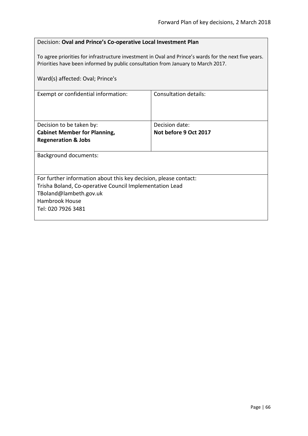# Decision: **Oval and Prince's Co-operative Local Investment Plan**

To agree priorities for infrastructure investment in Oval and Prince's wards for the next five years. Priorities have been informed by public consultation from January to March 2017.

| Ward(s) affected: Oval; Prince's                                 |                       |  |
|------------------------------------------------------------------|-----------------------|--|
| Exempt or confidential information:                              | Consultation details: |  |
| Decision to be taken by:                                         | Decision date:        |  |
| <b>Cabinet Member for Planning,</b>                              | Not before 9 Oct 2017 |  |
| <b>Regeneration &amp; Jobs</b>                                   |                       |  |
| <b>Background documents:</b>                                     |                       |  |
| For further information about this key decision, please contact: |                       |  |
| Trisha Boland, Co-operative Council Implementation Lead          |                       |  |
| TBoland@lambeth.gov.uk                                           |                       |  |
| <b>Hambrook House</b>                                            |                       |  |
| Tel: 020 7926 3481                                               |                       |  |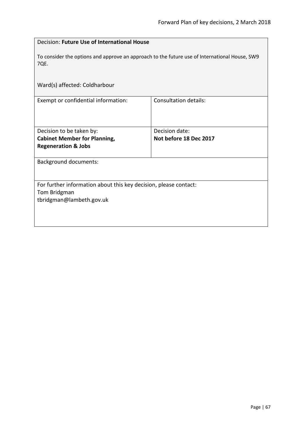| Decision: Future Use of International House                                                                  |  |  |
|--------------------------------------------------------------------------------------------------------------|--|--|
| To consider the options and approve an approach to the future use of International House, SW9<br><b>7QE.</b> |  |  |
|                                                                                                              |  |  |
| <b>Consultation details:</b>                                                                                 |  |  |
| Decision date:                                                                                               |  |  |
| Not before 18 Dec 2017                                                                                       |  |  |
|                                                                                                              |  |  |
| <b>Background documents:</b>                                                                                 |  |  |
|                                                                                                              |  |  |
| For further information about this key decision, please contact:                                             |  |  |
| Tom Bridgman                                                                                                 |  |  |
| tbridgman@lambeth.gov.uk                                                                                     |  |  |
|                                                                                                              |  |  |
|                                                                                                              |  |  |
|                                                                                                              |  |  |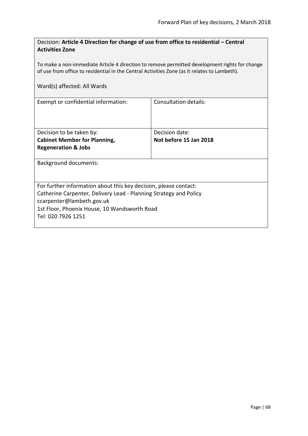| Decision: Article 4 Direction for change of use from office to residential - Central |  |
|--------------------------------------------------------------------------------------|--|
| <b>Activities Zone</b>                                                               |  |

To make a non-immediate Article 4 direction to remove permitted development rights for change of use from office to residential in the Central Activities Zone (as it relates to Lambeth).

|  |  | Ward(s) affected: All Wards |
|--|--|-----------------------------|
|--|--|-----------------------------|

| Exempt or confidential information:                               | Consultation details:  |
|-------------------------------------------------------------------|------------------------|
|                                                                   |                        |
|                                                                   |                        |
|                                                                   |                        |
| Decision to be taken by:                                          | Decision date:         |
| <b>Cabinet Member for Planning,</b>                               | Not before 15 Jan 2018 |
| <b>Regeneration &amp; Jobs</b>                                    |                        |
|                                                                   |                        |
| Background documents:                                             |                        |
|                                                                   |                        |
|                                                                   |                        |
| For further information about this key decision, please contact:  |                        |
| Catherine Carpenter, Delivery Lead - Planning Strategy and Policy |                        |
| ccarpenter@lambeth.gov.uk                                         |                        |
| 1st Floor, Phoenix House, 10 Wandsworth Road                      |                        |
| Tel: 020 7926 1251                                                |                        |
|                                                                   |                        |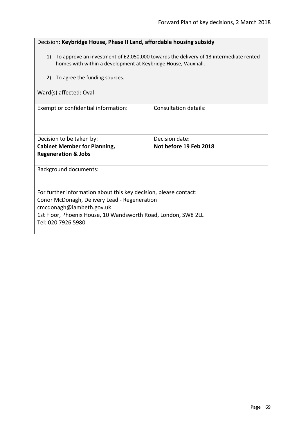| Decision: Keybridge House, Phase II Land, affordable housing subsidy                                                                                      |                              |  |
|-----------------------------------------------------------------------------------------------------------------------------------------------------------|------------------------------|--|
| 1) To approve an investment of £2,050,000 towards the delivery of 13 intermediate rented<br>homes with within a development at Keybridge House, Vauxhall. |                              |  |
| To agree the funding sources.<br>2)                                                                                                                       |                              |  |
| Ward(s) affected: Oval                                                                                                                                    |                              |  |
| Exempt or confidential information:                                                                                                                       | <b>Consultation details:</b> |  |
| Decision to be taken by:                                                                                                                                  | Decision date:               |  |
| <b>Cabinet Member for Planning,</b><br><b>Regeneration &amp; Jobs</b>                                                                                     | Not before 19 Feb 2018       |  |
| Background documents:                                                                                                                                     |                              |  |
| For further information about this key decision, please contact:                                                                                          |                              |  |
| Conor McDonagh, Delivery Lead - Regeneration<br>cmcdonagh@lambeth.gov.uk                                                                                  |                              |  |
| 1st Floor, Phoenix House, 10 Wandsworth Road, London, SW8 2LL<br>Tel: 020 7926 5980                                                                       |                              |  |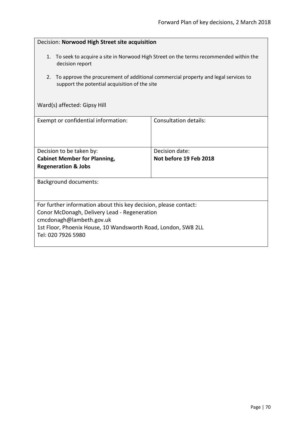| Decision: Norwood High Street site acquisition                                                                                                                                                                                      |                |  |
|-------------------------------------------------------------------------------------------------------------------------------------------------------------------------------------------------------------------------------------|----------------|--|
| 1. To seek to acquire a site in Norwood High Street on the terms recommended within the<br>decision report                                                                                                                          |                |  |
| To approve the procurement of additional commercial property and legal services to<br>2.<br>support the potential acquisition of the site                                                                                           |                |  |
| Ward(s) affected: Gipsy Hill                                                                                                                                                                                                        |                |  |
| Consultation details:<br>Exempt or confidential information:                                                                                                                                                                        |                |  |
| Decision to be taken by:                                                                                                                                                                                                            | Decision date: |  |
| Not before 19 Feb 2018<br><b>Cabinet Member for Planning,</b><br><b>Regeneration &amp; Jobs</b>                                                                                                                                     |                |  |
| <b>Background documents:</b>                                                                                                                                                                                                        |                |  |
| For further information about this key decision, please contact:<br>Conor McDonagh, Delivery Lead - Regeneration<br>cmcdonagh@lambeth.gov.uk<br>1st Floor, Phoenix House, 10 Wandsworth Road, London, SW8 2LL<br>Tel: 020 7926 5980 |                |  |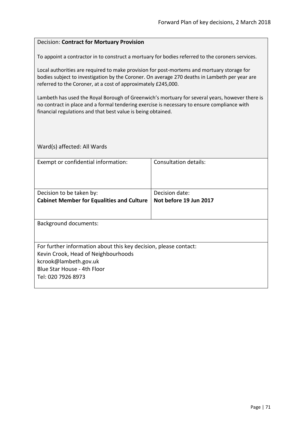### Decision: **Contract for Mortuary Provision**

To appoint a contractor in to construct a mortuary for bodies referred to the coroners services.

Local authorities are required to make provision for post-mortems and mortuary storage for bodies subject to investigation by the Coroner. On average 270 deaths in Lambeth per year are referred to the Coroner, at a cost of approximately £245,000.

Lambeth has used the Royal Borough of Greenwich's mortuary for several years, however there is no contract in place and a formal tendering exercise is necessary to ensure compliance with financial regulations and that best value is being obtained.

| Exempt or confidential information:                                                                                                                                                   | Consultation details:  |
|---------------------------------------------------------------------------------------------------------------------------------------------------------------------------------------|------------------------|
|                                                                                                                                                                                       |                        |
| Decision to be taken by:                                                                                                                                                              | Decision date:         |
| <b>Cabinet Member for Equalities and Culture</b>                                                                                                                                      | Not before 19 Jun 2017 |
|                                                                                                                                                                                       |                        |
| <b>Background documents:</b>                                                                                                                                                          |                        |
| For further information about this key decision, please contact:<br>Kevin Crook, Head of Neighbourhoods<br>kcrook@lambeth.gov.uk<br>Blue Star House - 4th Floor<br>Tel: 020 7926 8973 |                        |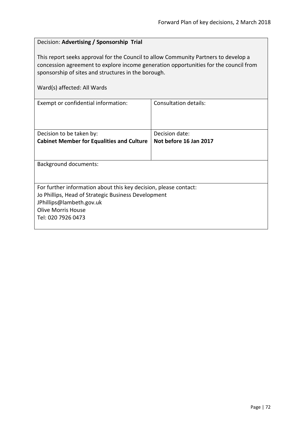# Decision: **Advertising / Sponsorship Trial**

This report seeks approval for the Council to allow Community Partners to develop a concession agreement to explore income generation opportunities for the council from sponsorship of sites and structures in the borough.

| Exempt or confidential information:                              | Consultation details:  |
|------------------------------------------------------------------|------------------------|
|                                                                  |                        |
|                                                                  |                        |
|                                                                  |                        |
| Decision to be taken by:                                         | Decision date:         |
| <b>Cabinet Member for Equalities and Culture</b>                 | Not before 16 Jan 2017 |
|                                                                  |                        |
|                                                                  |                        |
| <b>Background documents:</b>                                     |                        |
|                                                                  |                        |
|                                                                  |                        |
| For further information about this key decision, please contact: |                        |
| Jo Phillips, Head of Strategic Business Development              |                        |
| JPhillips@lambeth.gov.uk                                         |                        |
| Olive Morris House                                               |                        |
| Tel: 020 7926 0473                                               |                        |
|                                                                  |                        |
|                                                                  |                        |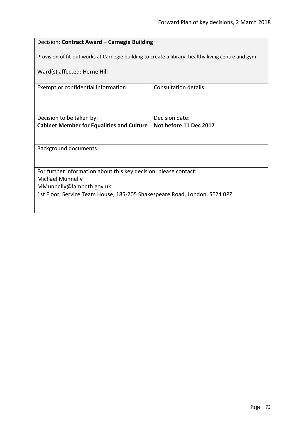## Decision: **Contract Award – Carnegie Building**

Provision of fit-out works at Carnegie building to create a library, healthy living centre and gym.

Ward(s) affected: Herne Hill

| Exempt or confidential information:                                       | Consultation details:  |  |
|---------------------------------------------------------------------------|------------------------|--|
|                                                                           |                        |  |
|                                                                           |                        |  |
|                                                                           |                        |  |
| Decision to be taken by:                                                  | Decision date:         |  |
| <b>Cabinet Member for Equalities and Culture</b>                          | Not before 11 Dec 2017 |  |
|                                                                           |                        |  |
|                                                                           |                        |  |
| Background documents:                                                     |                        |  |
|                                                                           |                        |  |
|                                                                           |                        |  |
| For further information about this key decision, please contact:          |                        |  |
| Michael Munnelly                                                          |                        |  |
| MMunnelly@lambeth.gov.uk                                                  |                        |  |
| 1st Floor, Service Team House, 185-205 Shakespeare Road, London, SE24 0PZ |                        |  |
|                                                                           |                        |  |
|                                                                           |                        |  |
|                                                                           |                        |  |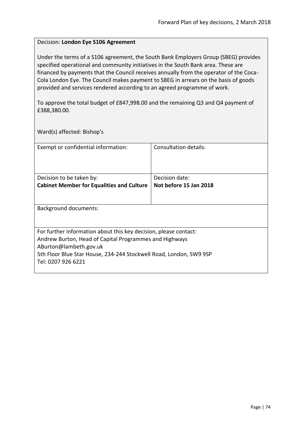#### Decision: **London Eye S106 Agreement**

Under the terms of a S106 agreement, the South Bank Employers Group (SBEG) provides specified operational and community initiatives in the South Bank area. These are financed by payments that the Council receives annually from the operator of the Coca-Cola London Eye. The Council makes payment to SBEG in arrears on the basis of goods provided and services rendered according to an agreed programme of work.

To approve the total budget of £847,998.00 and the remaining Q3 and Q4 payment of £388,380.00.

Ward(s) affected: Bishop's

| Exempt or confidential information:                                                                                        | Consultation details:  |
|----------------------------------------------------------------------------------------------------------------------------|------------------------|
| Decision to be taken by:                                                                                                   | Decision date:         |
| <b>Cabinet Member for Equalities and Culture</b>                                                                           | Not before 15 Jan 2018 |
|                                                                                                                            |                        |
| Background documents:                                                                                                      |                        |
| For further information about this key decision, please contact:<br>Andrew Burton, Head of Capital Programmes and Highways |                        |
| ABurton@lambeth.gov.uk                                                                                                     |                        |
| 5th Floor Blue Star House, 234-244 Stockwell Road, London, SW9 9SP<br>Tel: 0207 926 6221                                   |                        |
|                                                                                                                            |                        |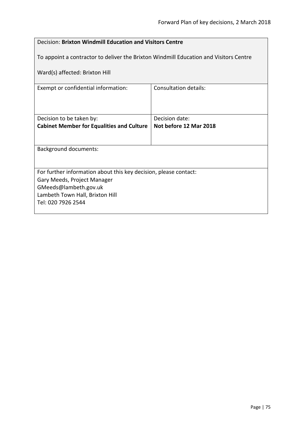# Decision: **Brixton Windmill Education and Visitors Centre** To appoint a contractor to deliver the Brixton Windmill Education and Visitors Centre Ward(s) affected: Brixton Hill Exempt or confidential information: Consultation details: Decision to be taken by: **Cabinet Member for Equalities and Culture** Decision date: **Not before 12 Mar 2018** Background documents: For further information about this key decision, please contact: Gary Meeds, Project Manager GMeeds@lambeth.gov.uk Lambeth Town Hall, Brixton Hill Tel: 020 7926 2544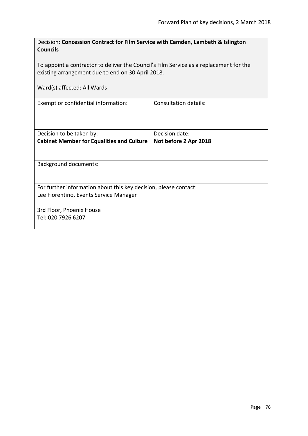| Decision: Concession Contract for Film Service with Camden, Lambeth & Islington<br><b>Councils</b>                                          |                       |  |
|---------------------------------------------------------------------------------------------------------------------------------------------|-----------------------|--|
| To appoint a contractor to deliver the Council's Film Service as a replacement for the<br>existing arrangement due to end on 30 April 2018. |                       |  |
| Ward(s) affected: All Wards                                                                                                                 |                       |  |
| Exempt or confidential information:                                                                                                         | Consultation details: |  |
| Decision to be taken by:                                                                                                                    | Decision date:        |  |
| <b>Cabinet Member for Equalities and Culture</b>                                                                                            | Not before 2 Apr 2018 |  |
| <b>Background documents:</b>                                                                                                                |                       |  |
| For further information about this key decision, please contact:<br>Lee Fiorentino, Events Service Manager                                  |                       |  |
| 3rd Floor, Phoenix House                                                                                                                    |                       |  |
| Tel: 020 7926 6207                                                                                                                          |                       |  |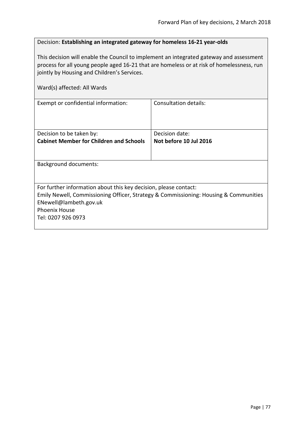### Decision: **Establishing an integrated gateway for homeless 16-21 year-olds**

This decision will enable the Council to implement an integrated gateway and assessment process for all young people aged 16-21 that are homeless or at risk of homelessness, run jointly by Housing and Children's Services.

| Ward(s) affected: All Wards                                                          |                        |
|--------------------------------------------------------------------------------------|------------------------|
| Exempt or confidential information:                                                  | Consultation details:  |
| Decision to be taken by:                                                             | Decision date:         |
| <b>Cabinet Member for Children and Schools</b>                                       | Not before 10 Jul 2016 |
|                                                                                      |                        |
| <b>Background documents:</b>                                                         |                        |
| For further information about this key decision, please contact:                     |                        |
| Emily Newell, Commissioning Officer, Strategy & Commissioning: Housing & Communities |                        |
| ENewell@lambeth.gov.uk                                                               |                        |
| <b>Phoenix House</b>                                                                 |                        |
| Tel: 0207 926 0973                                                                   |                        |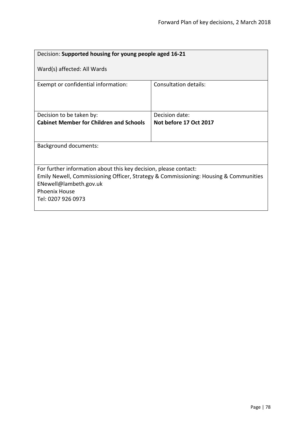| Decision: Supported housing for young people aged 16-21                                                                                                                                                                          |                        |
|----------------------------------------------------------------------------------------------------------------------------------------------------------------------------------------------------------------------------------|------------------------|
| Ward(s) affected: All Wards                                                                                                                                                                                                      |                        |
| Exempt or confidential information:                                                                                                                                                                                              | Consultation details:  |
| Decision to be taken by:                                                                                                                                                                                                         | Decision date:         |
| <b>Cabinet Member for Children and Schools</b>                                                                                                                                                                                   | Not before 17 Oct 2017 |
|                                                                                                                                                                                                                                  |                        |
| <b>Background documents:</b>                                                                                                                                                                                                     |                        |
| For further information about this key decision, please contact:<br>Emily Newell, Commissioning Officer, Strategy & Commissioning: Housing & Communities<br>ENewell@lambeth.gov.uk<br><b>Phoenix House</b><br>Tel: 0207 926 0973 |                        |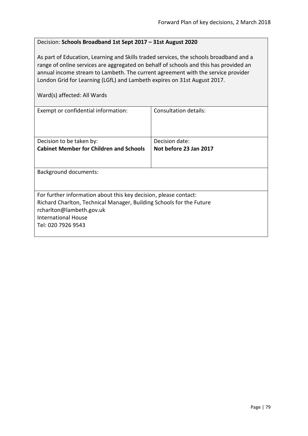#### Decision: **Schools Broadband 1st Sept 2017 – 31st August 2020**

As part of Education, Learning and Skills traded services, the schools broadband and a range of online services are aggregated on behalf of schools and this has provided an annual income stream to Lambeth. The current agreement with the service provider London Grid for Learning (LGfL) and Lambeth expires on 31st August 2017.

Ward(s) affected: All Wards

| Exempt or confidential information:                                  | Consultation details:  |
|----------------------------------------------------------------------|------------------------|
| Decision to be taken by:                                             | Decision date:         |
| <b>Cabinet Member for Children and Schools</b>                       | Not before 23 Jan 2017 |
|                                                                      |                        |
| <b>Background documents:</b>                                         |                        |
|                                                                      |                        |
| For further information about this key decision, please contact:     |                        |
| Richard Charlton, Technical Manager, Building Schools for the Future |                        |
| rcharlton@lambeth.gov.uk                                             |                        |
| <b>International House</b>                                           |                        |
| Tel: 020 7926 9543                                                   |                        |
|                                                                      |                        |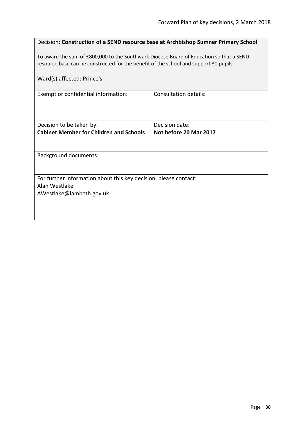| Decision: Construction of a SEND resource base at Archbishop Sumner Primary School                                                                                                                             |                        |  |
|----------------------------------------------------------------------------------------------------------------------------------------------------------------------------------------------------------------|------------------------|--|
| To award the sum of £800,000 to the Southwark Diocese Board of Education so that a SEND<br>resource base can be constructed for the benefit of the school and support 30 pupils.<br>Ward(s) affected: Prince's |                        |  |
|                                                                                                                                                                                                                |                        |  |
| Exempt or confidential information:                                                                                                                                                                            | Consultation details:  |  |
|                                                                                                                                                                                                                |                        |  |
| Decision to be taken by:                                                                                                                                                                                       | Decision date:         |  |
| <b>Cabinet Member for Children and Schools</b>                                                                                                                                                                 | Not before 20 Mar 2017 |  |
| <b>Background documents:</b>                                                                                                                                                                                   |                        |  |
| For further information about this key decision, please contact:<br>Alan Westlake<br>AWestlake@lambeth.gov.uk                                                                                                  |                        |  |
|                                                                                                                                                                                                                |                        |  |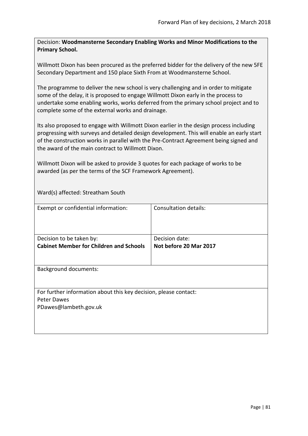Decision: **Woodmansterne Secondary Enabling Works and Minor Modifications to the Primary School.**

Willmott Dixon has been procured as the preferred bidder for the delivery of the new 5FE Secondary Department and 150 place Sixth From at Woodmansterne School.

The programme to deliver the new school is very challenging and in order to mitigate some of the delay, it is proposed to engage Willmott Dixon early in the process to undertake some enabling works, works deferred from the primary school project and to complete some of the external works and drainage.

Its also proposed to engage with Willmott Dixon earlier in the design process including progressing with surveys and detailed design development. This will enable an early start of the construction works in parallel with the Pre-Contract Agreement being signed and the award of the main contract to Willmott Dixon.

Willmott Dixon will be asked to provide 3 quotes for each package of works to be awarded (as per the terms of the SCF Framework Agreement).

Ward(s) affected: Streatham South

| Exempt or confidential information:                                                                      | <b>Consultation details:</b>             |
|----------------------------------------------------------------------------------------------------------|------------------------------------------|
| Decision to be taken by:<br><b>Cabinet Member for Children and Schools</b>                               | Decision date:<br>Not before 20 Mar 2017 |
| <b>Background documents:</b>                                                                             |                                          |
| For further information about this key decision, please contact:<br>Peter Dawes<br>PDawes@lambeth.gov.uk |                                          |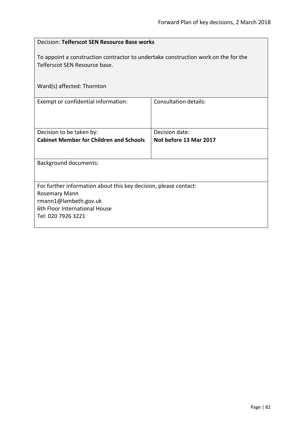| Decision: Telferscot SEN Resource Base works                                                                                                                      |                                          |  |
|-------------------------------------------------------------------------------------------------------------------------------------------------------------------|------------------------------------------|--|
| To appoint a construction contractor to undertake construction work on the for the<br>Telferscot SEN Resource base.                                               |                                          |  |
| Ward(s) affected: Thornton                                                                                                                                        |                                          |  |
| Exempt or confidential information:                                                                                                                               | <b>Consultation details:</b>             |  |
| Decision to be taken by:<br><b>Cabinet Member for Children and Schools</b>                                                                                        | Decision date:<br>Not before 13 Mar 2017 |  |
| <b>Background documents:</b>                                                                                                                                      |                                          |  |
| For further information about this key decision, please contact:<br>Rosemary Mann<br>rmann1@lambeth.gov.uk<br>6th Floor International House<br>Tel: 020 7926 3221 |                                          |  |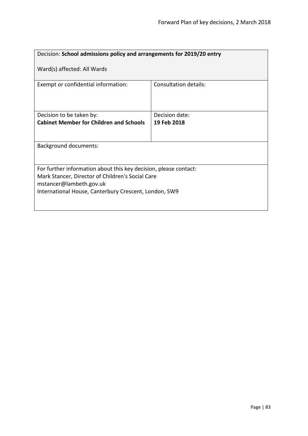| Decision: School admissions policy and arrangements for 2019/20 entry                                                                                                                                    |                       |
|----------------------------------------------------------------------------------------------------------------------------------------------------------------------------------------------------------|-----------------------|
| Ward(s) affected: All Wards                                                                                                                                                                              |                       |
| Exempt or confidential information:                                                                                                                                                                      | Consultation details: |
| Decision to be taken by:                                                                                                                                                                                 | Decision date:        |
| <b>Cabinet Member for Children and Schools</b>                                                                                                                                                           | 19 Feb 2018           |
| Background documents:                                                                                                                                                                                    |                       |
| For further information about this key decision, please contact:<br>Mark Stancer, Director of Children's Social Care<br>mstancer@lambeth.gov.uk<br>International House, Canterbury Crescent, London, SW9 |                       |